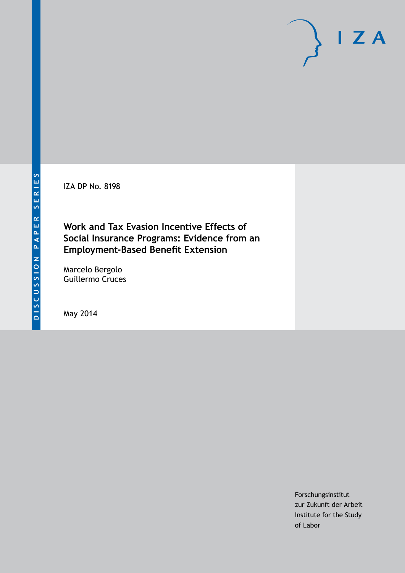IZA DP No. 8198

## **Work and Tax Evasion Incentive Effects of Social Insurance Programs: Evidence from an Employment-Based Benefit Extension**

Marcelo Bergolo Guillermo Cruces

May 2014

Forschungsinstitut zur Zukunft der Arbeit Institute for the Study of Labor

 $I Z A$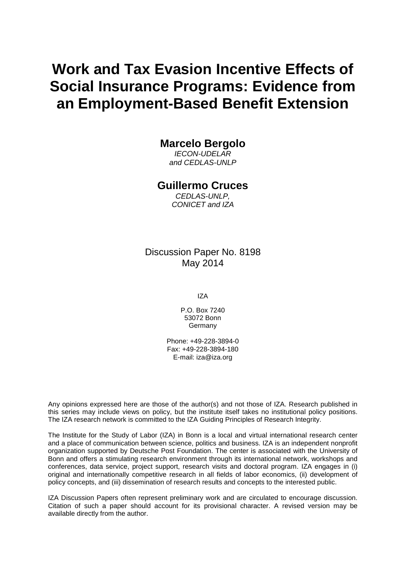# **Work and Tax Evasion Incentive Effects of Social Insurance Programs: Evidence from an Employment-Based Benefit Extension**

## **Marcelo Bergolo**

*IECON-UDELAR and CEDLAS-UNLP*

## **Guillermo Cruces**

*CEDLAS-UNLP, CONICET and IZA*

Discussion Paper No. 8198 May 2014

IZA

P.O. Box 7240 53072 Bonn **Germany** 

Phone: +49-228-3894-0 Fax: +49-228-3894-180 E-mail: [iza@iza.org](mailto:iza@iza.org)

Any opinions expressed here are those of the author(s) and not those of IZA. Research published in this series may include views on policy, but the institute itself takes no institutional policy positions. The IZA research network is committed to the IZA Guiding Principles of Research Integrity.

The Institute for the Study of Labor (IZA) in Bonn is a local and virtual international research center and a place of communication between science, politics and business. IZA is an independent nonprofit organization supported by Deutsche Post Foundation. The center is associated with the University of Bonn and offers a stimulating research environment through its international network, workshops and conferences, data service, project support, research visits and doctoral program. IZA engages in (i) original and internationally competitive research in all fields of labor economics, (ii) development of policy concepts, and (iii) dissemination of research results and concepts to the interested public.

<span id="page-1-0"></span>IZA Discussion Papers often represent preliminary work and are circulated to encourage discussion. Citation of such a paper should account for its provisional character. A revised version may be available directly from the author.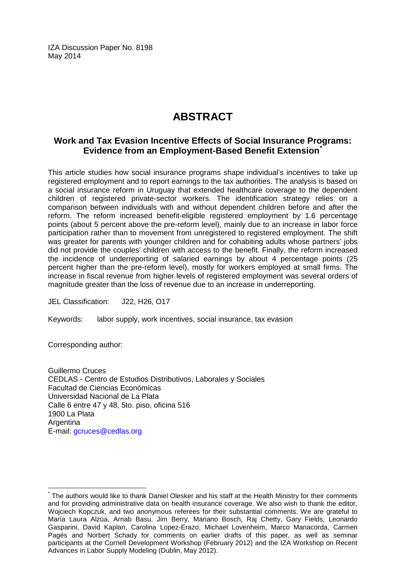IZA Discussion Paper No. 8198 May 2014

## **ABSTRACT**

## **Work and Tax Evasion Incentive Effects of Social Insurance Programs: Evidence from an Employment-Based Benefit Extension[\\*](#page-1-0)**

This article studies how social insurance programs shape individual's incentives to take up registered employment and to report earnings to the tax authorities. The analysis is based on a social insurance reform in Uruguay that extended healthcare coverage to the dependent children of registered private-sector workers. The identification strategy relies on a comparison between individuals with and without dependent children before and after the reform. The reform increased benefit-eligible registered employment by 1.6 percentage points (about 5 percent above the pre-reform level), mainly due to an increase in labor force participation rather than to movement from unregistered to registered employment. The shift was greater for parents with younger children and for cohabiting adults whose partners' jobs did not provide the couples' children with access to the benefit. Finally, the reform increased the incidence of underreporting of salaried earnings by about 4 percentage points (25 percent higher than the pre-reform level), mostly for workers employed at small firms. The increase in fiscal revenue from higher levels of registered employment was several orders of magnitude greater than the loss of revenue due to an increase in underreporting.

JEL Classification: J22, H26, O17

Keywords: labor supply, work incentives, social insurance, tax evasion

Corresponding author:

Guillermo Cruces CEDLAS - Centro de Estudios Distributivos, Laborales y Sociales Facultad de Ciencias Económicas Universidad Nacional de La Plata Calle 6 entre 47 y 48, 5to. piso, oficina 516 1900 La Plata **Argentina** E-mail: [gcruces@cedlas.org](mailto:gcruces@cedlas.org)

The authors would like to thank Daniel Olesker and his staff at the Health Ministry for their comments and for providing administrative data on health insurance coverage. We also wish to thank the editor, Wojciech Kopczuk, and two anonymous referees for their substantial comments. We are grateful to María Laura Alzúa, Arnab Basu, Jim Berry, Mariano Bosch, Raj Chetty, Gary Fields, Leonardo Gasparini, David Kaplan, Carolina Lopez-Erazo, Michael Lovenheim, Marco Manacorda, Carmen Pagés and Norbert Schady for comments on earlier drafts of this paper, as well as seminar participants at the Cornell Development Workshop (February 2012) and the IZA Workshop on Recent Advances in Labor Supply Modeling (Dublin, May 2012).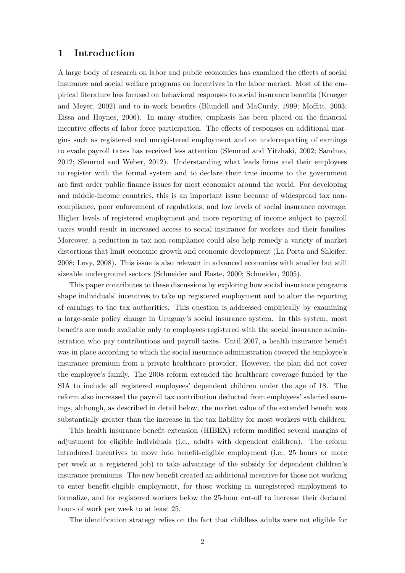## **1 Introduction**

A large body of research on labor and public economics has examined the effects of social insurance and social welfare programs on incentives in the labor market. Most of the empirical literature has focused on behavioral responses to social insurance benefits (Krueger and Meyer, 2002) and to in-work benefits (Blundell and MaCurdy, 1999; Moffitt, 2003; Eissa and Hoynes, 2006). In many studies, emphasis has been placed on the financial incentive effects of labor force participation. The effects of responses on additional margins such as registered and unregistered employment and on underreporting of earnings to evade payroll taxes has received less attention (Slemrod and Yitzhaki, 2002; Sandmo, 2012; Slemrod and Weber, 2012). Understanding what leads firms and their employees to register with the formal system and to declare their true income to the government are first order public finance issues for most economies around the world. For developing and middle-income countries, this is an important issue because of widespread tax noncompliance, poor enforcement of regulations, and low levels of social insurance coverage. Higher levels of registered employment and more reporting of income subject to payroll taxes would result in increased access to social insurance for workers and their families. Moreover, a reduction in tax non-compliance could also help remedy a variety of market distortions that limit economic growth and economic development (La Porta and Shleifer, 2008; Levy, 2008). This issue is also relevant in advanced economies with smaller but still sizeable underground sectors (Schneider and Enste, 2000; Schneider, 2005).

This paper contributes to these discussions by exploring how social insurance programs shape individuals' incentives to take up registered employment and to alter the reporting of earnings to the tax authorities. This question is addressed empirically by examining a large-scale policy change in Uruguay's social insurance system. In this system, most benefits are made available only to employees registered with the social insurance administration who pay contributions and payroll taxes. Until 2007, a health insurance benefit was in place according to which the social insurance administration covered the employee's insurance premium from a private healthcare provider. However, the plan did not cover the employee's family. The 2008 reform extended the healthcare coverage funded by the SIA to include all registered employees' dependent children under the age of 18. The reform also increased the payroll tax contribution deducted from employees' salaried earnings, although, as described in detail below, the market value of the extended benefit was substantially greater than the increase in the tax liability for most workers with children.

This health insurance benefit extension (HIBEX) reform modified several margins of adjustment for eligible individuals (i.e., adults with dependent children). The reform introduced incentives to move into benefit-eligible employment (i.e., 25 hours or more per week at a registered job) to take advantage of the subsidy for dependent children's insurance premiums. The new benefit created an additional incentive for those not working to enter benefit-eligible employment, for those working in unregistered employment to formalize, and for registered workers below the 25-hour cut-off to increase their declared hours of work per week to at least 25.

The identification strategy relies on the fact that childless adults were not eligible for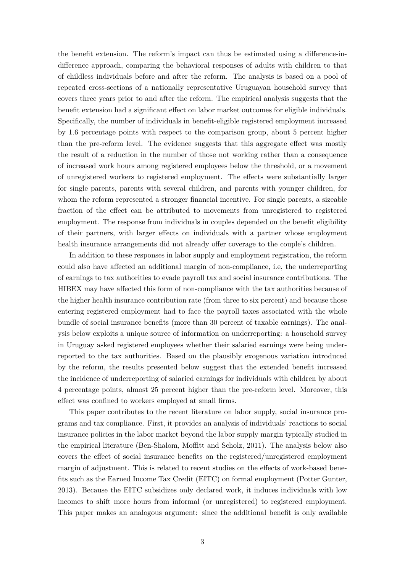the benefit extension. The reform's impact can thus be estimated using a difference-indifference approach, comparing the behavioral responses of adults with children to that of childless individuals before and after the reform. The analysis is based on a pool of repeated cross-sections of a nationally representative Uruguayan household survey that covers three years prior to and after the reform. The empirical analysis suggests that the benefit extension had a significant effect on labor market outcomes for eligible individuals. Specifically, the number of individuals in benefit-eligible registered employment increased by 1.6 percentage points with respect to the comparison group, about 5 percent higher than the pre-reform level. The evidence suggests that this aggregate effect was mostly the result of a reduction in the number of those not working rather than a consequence of increased work hours among registered employees below the threshold, or a movement of unregistered workers to registered employment. The effects were substantially larger for single parents, parents with several children, and parents with younger children, for whom the reform represented a stronger financial incentive. For single parents, a sizeable fraction of the effect can be attributed to movements from unregistered to registered employment. The response from individuals in couples depended on the benefit eligibility of their partners, with larger effects on individuals with a partner whose employment health insurance arrangements did not already offer coverage to the couple's children.

In addition to these responses in labor supply and employment registration, the reform could also have affected an additional margin of non-compliance, i.e, the underreporting of earnings to tax authorities to evade payroll tax and social insurance contributions. The HIBEX may have affected this form of non-compliance with the tax authorities because of the higher health insurance contribution rate (from three to six percent) and because those entering registered employment had to face the payroll taxes associated with the whole bundle of social insurance benefits (more than 30 percent of taxable earnings). The analysis below exploits a unique source of information on underreporting: a household survey in Uruguay asked registered employees whether their salaried earnings were being underreported to the tax authorities. Based on the plausibly exogenous variation introduced by the reform, the results presented below suggest that the extended benefit increased the incidence of underreporting of salaried earnings for individuals with children by about 4 percentage points, almost 25 percent higher than the pre-reform level. Moreover, this effect was confined to workers employed at small firms.

This paper contributes to the recent literature on labor supply, social insurance programs and tax compliance. First, it provides an analysis of individuals' reactions to social insurance policies in the labor market beyond the labor supply margin typically studied in the empirical literature (Ben-Shalom, Moffitt and Scholz, 2011). The analysis below also covers the effect of social insurance benefits on the registered/unregistered employment margin of adjustment. This is related to recent studies on the effects of work-based benefits such as the Earned Income Tax Credit (EITC) on formal employment (Potter Gunter, 2013). Because the EITC subsidizes only declared work, it induces individuals with low incomes to shift more hours from informal (or unregistered) to registered employment. This paper makes an analogous argument: since the additional benefit is only available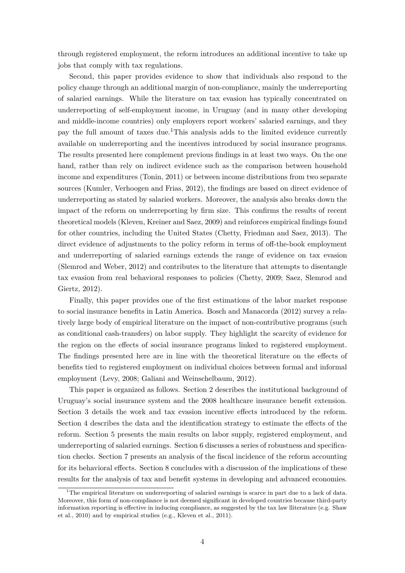through registered employment, the reform introduces an additional incentive to take up jobs that comply with tax regulations.

Second, this paper provides evidence to show that individuals also respond to the policy change through an additional margin of non-compliance, mainly the underreporting of salaried earnings. While the literature on tax evasion has typically concentrated on underreporting of self-employment income, in Uruguay (and in many other developing and middle-income countries) only employers report workers' salaried earnings, and they pay the full amount of taxes due.1This analysis adds to the limited evidence currently available on underreporting and the incentives introduced by social insurance programs. The results presented here complement previous findings in at least two ways. On the one hand, rather than rely on indirect evidence such as the comparison between household income and expenditures (Tonin, 2011) or between income distributions from two separate sources (Kumler, Verhoogen and Frias, 2012), the findings are based on direct evidence of underreporting as stated by salaried workers. Moreover, the analysis also breaks down the impact of the reform on underreporting by firm size. This confirms the results of recent theoretical models (Kleven, Kreiner and Saez, 2009) and reinforces empirical findings found for other countries, including the United States (Chetty, Friedman and Saez, 2013). The direct evidence of adjustments to the policy reform in terms of off-the-book employment and underreporting of salaried earnings extends the range of evidence on tax evasion (Slemrod and Weber, 2012) and contributes to the literature that attempts to disentangle tax evasion from real behavioral responses to policies (Chetty, 2009; Saez, Slemrod and Giertz, 2012).

Finally, this paper provides one of the first estimations of the labor market response to social insurance benefits in Latin America. Bosch and Manacorda (2012) survey a relatively large body of empirical literature on the impact of non-contributive programs (such as conditional cash-transfers) on labor supply. They highlight the scarcity of evidence for the region on the effects of social insurance programs linked to registered employment. The findings presented here are in line with the theoretical literature on the effects of benefits tied to registered employment on individual choices between formal and informal employment (Levy, 2008; Galiani and Weinschelbaum, 2012).

This paper is organized as follows. Section 2 describes the institutional background of Uruguay's social insurance system and the 2008 healthcare insurance benefit extension. Section 3 details the work and tax evasion incentive effects introduced by the reform. Section 4 describes the data and the identification strategy to estimate the effects of the reform. Section 5 presents the main results on labor supply, registered employment, and underreporting of salaried earnings. Section 6 discusses a series of robustness and specification checks. Section 7 presents an analysis of the fiscal incidence of the reform accounting for its behavioral effects. Section 8 concludes with a discussion of the implications of these results for the analysis of tax and benefit systems in developing and advanced economies.

<sup>&</sup>lt;sup>1</sup>The empirical literature on underreporting of salaried earnings is scarce in part due to a lack of data. Moreover, this form of non-compliance is not deemed significant in developed countries because third-party information reporting is effective in inducing compliance, as suggested by the tax law lliterature (e.g. Shaw et al., 2010) and by empirical studies (e.g., Kleven et al., 2011).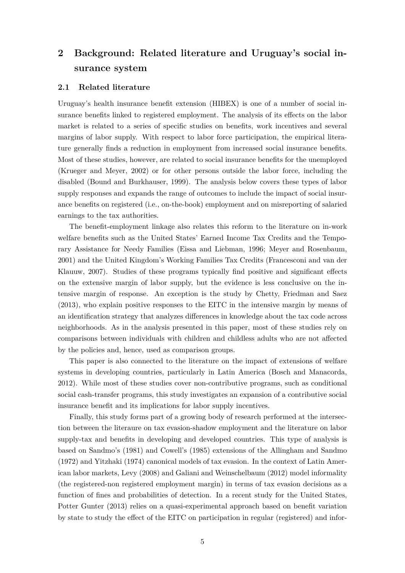## **2 Background: Related literature and Uruguay's social insurance system**

#### **2.1 Related literature**

Uruguay's health insurance benefit extension (HIBEX) is one of a number of social insurance benefits linked to registered employment. The analysis of its effects on the labor market is related to a series of specific studies on benefits, work incentives and several margins of labor supply. With respect to labor force participation, the empirical literature generally finds a reduction in employment from increased social insurance benefits. Most of these studies, however, are related to social insurance benefits for the unemployed (Krueger and Meyer, 2002) or for other persons outside the labor force, including the disabled (Bound and Burkhauser, 1999). The analysis below covers these types of labor supply responses and expands the range of outcomes to include the impact of social insurance benefits on registered (i.e., on-the-book) employment and on misreporting of salaried earnings to the tax authorities.

The benefit-employment linkage also relates this reform to the literature on in-work welfare benefits such as the United States' Earned Income Tax Credits and the Temporary Assistance for Needy Families (Eissa and Liebman, 1996; Meyer and Rosenbaum, 2001) and the United Kingdom's Working Families Tax Credits (Francesconi and van der Klauuw, 2007). Studies of these programs typically find positive and significant effects on the extensive margin of labor supply, but the evidence is less conclusive on the intensive margin of response. An exception is the study by Chetty, Friedman and Saez (2013), who explain positive responses to the EITC in the intensive margin by means of an identification strategy that analyzes differences in knowledge about the tax code across neighborhoods. As in the analysis presented in this paper, most of these studies rely on comparisons between individuals with children and childless adults who are not affected by the policies and, hence, used as comparison groups.

This paper is also connected to the literature on the impact of extensions of welfare systems in developing countries, particularly in Latin America (Bosch and Manacorda, 2012). While most of these studies cover non-contributive programs, such as conditional social cash-transfer programs, this study investigates an expansion of a contributive social insurance benefit and its implications for labor supply incentives.

Finally, this study forms part of a growing body of research performed at the intersection between the literaure on tax evasion-shadow employment and the literature on labor supply-tax and benefits in developing and developed countries. This type of analysis is based on Sandmo's (1981) and Cowell's (1985) extensions of the Allingham and Sandmo (1972) and Yitzhaki (1974) canonical models of tax evasion. In the context of Latin American labor markets, Levy (2008) and Galiani and Weinschelbaum (2012) model informality (the registered-non registered employment margin) in terms of tax evasion decisions as a function of fines and probabilities of detection. In a recent study for the United States, Potter Gunter (2013) relies on a quasi-experimental approach based on benefit variation by state to study the effect of the EITC on participation in regular (registered) and infor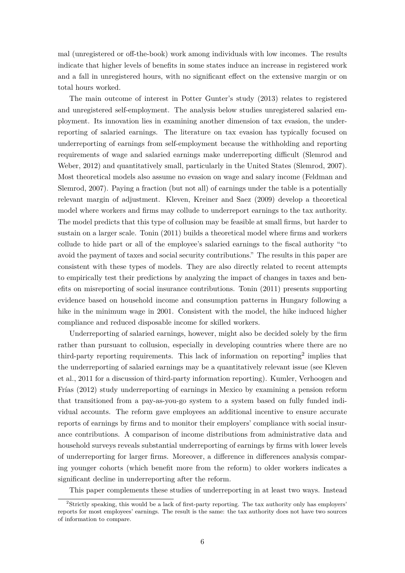mal (unregistered or off-the-book) work among individuals with low incomes. The results indicate that higher levels of benefits in some states induce an increase in registered work and a fall in unregistered hours, with no significant effect on the extensive margin or on total hours worked.

The main outcome of interest in Potter Gunter's study (2013) relates to registered and unregistered self-employment. The analysis below studies unregistered salaried employment. Its innovation lies in examining another dimension of tax evasion, the underreporting of salaried earnings. The literature on tax evasion has typically focused on underreporting of earnings from self-employment because the withholding and reporting requirements of wage and salaried earnings make underreporting difficult (Slemrod and Weber, 2012) and quantitatively small, particularly in the United States (Slemrod, 2007). Most theoretical models also assume no evasion on wage and salary income (Feldman and Slemrod, 2007). Paying a fraction (but not all) of earnings under the table is a potentially relevant margin of adjustment. Kleven, Kreiner and Saez (2009) develop a theoretical model where workers and firms may collude to underreport earnings to the tax authority. The model predicts that this type of collusion may be feasible at small firms, but harder to sustain on a larger scale. Tonin (2011) builds a theoretical model where firms and workers collude to hide part or all of the employee's salaried earnings to the fiscal authority "to avoid the payment of taxes and social security contributions." The results in this paper are consistent with these types of models. They are also directly related to recent attempts to empirically test their predictions by analyzing the impact of changes in taxes and benefits on misreporting of social insurance contributions. Tonin (2011) presents supporting evidence based on household income and consumption patterns in Hungary following a hike in the minimum wage in 2001. Consistent with the model, the hike induced higher compliance and reduced disposable income for skilled workers.

Underreporting of salaried earnings, however, might also be decided solely by the firm rather than pursuant to collusion, especially in developing countries where there are no third-party reporting requirements. This lack of information on reporting<sup>2</sup> implies that the underreporting of salaried earnings may be a quantitatively relevant issue (see Kleven et al., 2011 for a discussion of third-party information reporting). Kumler, Verhoogen and Frías (2012) study underreporting of earnings in Mexico by examining a pension reform that transitioned from a pay-as-you-go system to a system based on fully funded individual accounts. The reform gave employees an additional incentive to ensure accurate reports of earnings by firms and to monitor their employers' compliance with social insurance contributions. A comparison of income distributions from administrative data and household surveys reveals substantial underreporting of earnings by firms with lower levels of underreporting for larger firms. Moreover, a difference in differences analysis comparing younger cohorts (which benefit more from the reform) to older workers indicates a significant decline in underreporting after the reform.

This paper complements these studies of underreporting in at least two ways. Instead

<sup>&</sup>lt;sup>2</sup>Strictly speaking, this would be a lack of first-party reporting. The tax authority only has employers' reports for most employees' earnings. The result is the same: the tax authority does not have two sources of information to compare.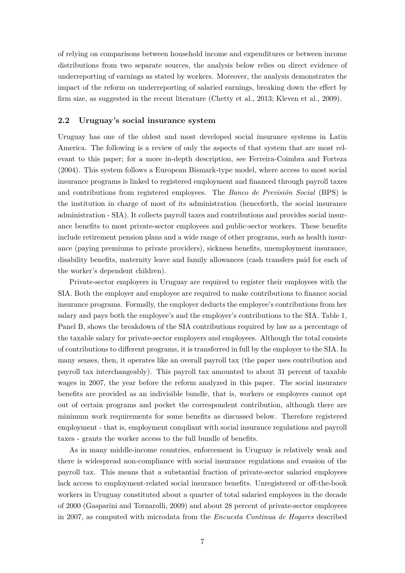of relying on comparisons between household income and expenditures or between income distributions from two separate sources, the analysis below relies on direct evidence of underreporting of earnings as stated by workers. Moreover, the analysis demonstrates the impact of the reform on underreporting of salaried earnings, breaking down the effect by firm size, as suggested in the recent literature (Chetty et al., 2013; Kleven et al., 2009).

#### **2.2 Uruguay's social insurance system**

Uruguay has one of the oldest and most developed social insurance systems in Latin America. The following is a review of only the aspects of that system that are most relevant to this paper; for a more in-depth description, see Ferreira-Coimbra and Forteza (2004). This system follows a European Bismark-type model, where access to most social insurance programs is linked to registered employment and financed through payroll taxes and contributions from registered employees. The *Banco de Previsión Social* (BPS) is the institution in charge of most of its administration (henceforth, the social insurance administration - SIA). It collects payroll taxes and contributions and provides social insurance benefits to most private-sector employees and public-sector workers. These benefits include retirement pension plans and a wide range of other programs, such as health insurance (paying premiums to private providers), sickness benefits, unemployment insurance, disability benefits, maternity leave and family allowances (cash transfers paid for each of the worker's dependent children).

Private-sector employers in Uruguay are required to register their employees with the SIA. Both the employer and employee are required to make contributions to finance social insurance programs. Formally, the employer deducts the employee's contributions from her salary and pays both the employee's and the employer's contributions to the SIA. Table 1, Panel B, shows the breakdown of the SIA contributions required by law as a percentage of the taxable salary for private-sector employers and employees. Although the total consists of contributions to different programs, it is transferred in full by the employer to the SIA. In many senses, then, it operates like an overall payroll tax (the paper uses contribution and payroll tax interchangeably). This payroll tax amounted to about 31 percent of taxable wages in 2007, the year before the reform analyzed in this paper. The social insurance benefits are provided as an indivisible bundle, that is, workers or employers cannot opt out of certain programs and pocket the correspondent contribution, although there are minimum work requirements for some benefits as discussed below. Therefore registered employment - that is, employment compliant with social insurance regulations and payroll taxes - grants the worker access to the full bundle of benefits.

As in many middle-income countries, enforcement in Uruguay is relatively weak and there is widespread non-compliance with social insurance regulations and evasion of the payroll tax. This means that a substantial fraction of private-sector salaried employees lack access to employment-related social insurance benefits. Unregistered or off-the-book workers in Uruguay constituted about a quarter of total salaried employees in the decade of 2000 (Gasparini and Tornarolli, 2009) and about 28 percent of private-sector employees in 2007, as computed with microdata from the *Encuesta Continua de Hogares* described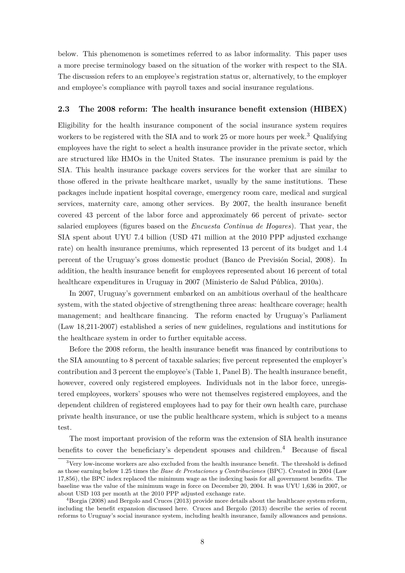below. This phenomenon is sometimes referred to as labor informality. This paper uses a more precise terminology based on the situation of the worker with respect to the SIA. The discussion refers to an employee's registration status or, alternatively, to the employer and employee's compliance with payroll taxes and social insurance regulations.

#### **2.3 The 2008 reform: The health insurance benefit extension (HIBEX)**

Eligibility for the health insurance component of the social insurance system requires workers to be registered with the SIA and to work 25 or more hours per week.<sup>3</sup> Qualifying employees have the right to select a health insurance provider in the private sector, which are structured like HMOs in the United States. The insurance premium is paid by the SIA. This health insurance package covers services for the worker that are similar to those offered in the private healthcare market, usually by the same institutions. These packages include inpatient hospital coverage, emergency room care, medical and surgical services, maternity care, among other services. By 2007, the health insurance benefit covered 43 percent of the labor force and approximately 66 percent of private- sector salaried employees (figures based on the *Encuesta Continua de Hogares*). That year, the SIA spent about UYU 7.4 billion (USD 471 million at the 2010 PPP adjusted exchange rate) on health insurance premiums, which represented 13 percent of its budget and 1.4 percent of the Uruguay's gross domestic product (Banco de Previsión Social, 2008). In addition, the health insurance benefit for employees represented about 16 percent of total healthcare expenditures in Uruguay in 2007 (Ministerio de Salud Pública, 2010a).

In 2007, Uruguay's government embarked on an ambitious overhaul of the healthcare system, with the stated objective of strengthening three areas: healthcare coverage; health management; and healthcare financing. The reform enacted by Uruguay's Parliament (Law 18,211-2007) established a series of new guidelines, regulations and institutions for the healthcare system in order to further equitable access.

Before the 2008 reform, the health insurance benefit was financed by contributions to the SIA amounting to 8 percent of taxable salaries; five percent represented the employer's contribution and 3 percent the employee's (Table 1, Panel B). The health insurance benefit, however, covered only registered employees. Individuals not in the labor force, unregistered employees, workers' spouses who were not themselves registered employees, and the dependent children of registered employees had to pay for their own health care, purchase private health insurance, or use the public healthcare system, which is subject to a means test.

The most important provision of the reform was the extension of SIA health insurance benefits to cover the beneficiary's dependent spouses and children.<sup>4</sup> Because of fiscal

 $3$ Very low-income workers are also excluded from the health insurance benefit. The threshold is defined as those earning below 1.25 times the *Base de Prestaciones y Contribuciones* (BPC). Created in 2004 (Law 17,856), the BPC index replaced the minimum wage as the indexing basis for all government benefits. The baseline was the value of the minimum wage in force on December 20, 2004. It was UYU 1,636 in 2007, or about USD 103 per month at the 2010 PPP adjusted exchange rate.

<sup>&</sup>lt;sup>4</sup>Borgia (2008) and Bergolo and Cruces (2013) provide more details about the healthcare system reform, including the benefit expansion discussed here. Cruces and Bergolo (2013) describe the series of recent reforms to Uruguay's social insurance system, including health insurance, family allowances and pensions.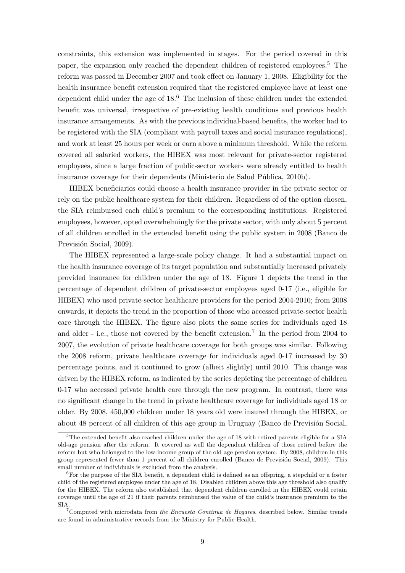constraints, this extension was implemented in stages. For the period covered in this paper, the expansion only reached the dependent children of registered employees.<sup>5</sup> The reform was passed in December 2007 and took effect on January 1, 2008. Eligibility for the health insurance benefit extension required that the registered employee have at least one dependent child under the age of  $18<sup>6</sup>$ . The inclusion of these children under the extended benefit was universal, irrespective of pre-existing health conditions and previous health insurance arrangements. As with the previous individual-based benefits, the worker had to be registered with the SIA (compliant with payroll taxes and social insurance regulations), and work at least 25 hours per week or earn above a minimum threshold. While the reform covered all salaried workers, the HIBEX was most relevant for private-sector registered employees, since a large fraction of public-sector workers were already entitled to health insurance coverage for their dependents (Ministerio de Salud Pública, 2010b).

HIBEX beneficiaries could choose a health insurance provider in the private sector or rely on the public healthcare system for their children. Regardless of of the option chosen, the SIA reimbursed each child's premium to the corresponding institutions. Registered employees, however, opted overwhelmingly for the private sector, with only about 5 percent of all children enrolled in the extended benefit using the public system in 2008 (Banco de Previsión Social, 2009).

The HIBEX represented a large-scale policy change. It had a substantial impact on the health insurance coverage of its target population and substantially increased privately provided insurance for children under the age of 18. Figure 1 depicts the trend in the percentage of dependent children of private-sector employees aged 0-17 (i.e., eligible for HIBEX) who used private-sector healthcare providers for the period 2004-2010; from 2008 onwards, it depicts the trend in the proportion of those who accessed private-sector health care through the HIBEX. The figure also plots the same series for individuals aged 18 and older - i.e., those not covered by the benefit extension.<sup>7</sup> In the period from 2004 to 2007, the evolution of private healthcare coverage for both groups was similar. Following the 2008 reform, private healthcare coverage for individuals aged 0-17 increased by 30 percentage points, and it continued to grow (albeit slightly) until 2010. This change was driven by the HIBEX reform, as indicated by the series depicting the percentage of children 0-17 who accessed private health care through the new program. In contrast, there was no significant change in the trend in private healthcare coverage for individuals aged 18 or older. By 2008, 450,000 children under 18 years old were insured through the HIBEX, or about 48 percent of all children of this age group in Uruguay (Banco de Previsión Social,

<sup>5</sup>The extended benefit also reached children under the age of 18 with retired parents eligible for a SIA old-age pension after the reform. It covered as well the dependent children of those retired before the reform but who belonged to the low-income group of the old-age pension system. By 2008, children in this group represented fewer than 1 percent of all children enrolled (Banco de Previsión Social, 2009). This small number of individuals is excluded from the analysis.

 ${}^{6}$  For the purpose of the SIA benefit, a dependent child is defined as an offspring, a stepchild or a foster child of the registered employee under the age of 18. Disabled children above this age threshold also qualify for the HIBEX. The reform also established that dependent children enrolled in the HIBEX could retain coverage until the age of 21 if their parents reimbursed the value of the child's insurance premium to the SIA.

<sup>7</sup>Computed with microdata from *the Encuesta Continua de Hogares*, described below. Similar trends are found in administrative records from the Ministry for Public Health.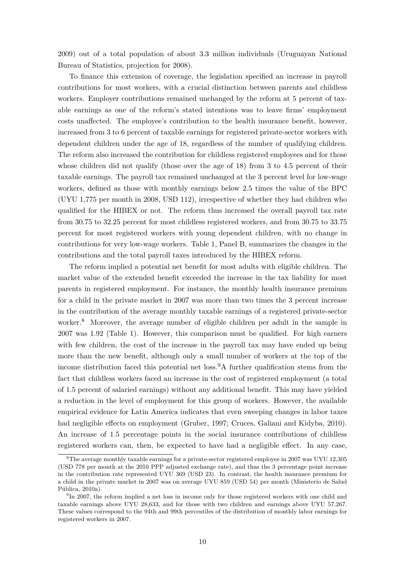2009) out of a total population of about 3.3 million individuals (Uruguayan National Bureau of Statistics, projection for 2008).

To finance this extension of coverage, the legislation specified an increase in payroll contributions for most workers, with a crucial distinction between parents and childless workers. Employer contributions remained unchanged by the reform at 5 percent of taxable earnings as one of the reform's stated intentions was to leave firms' employment costs unaffected. The employee's contribution to the health insurance benefit, however, increased from 3 to 6 percent of taxable earnings for registered private-sector workers with dependent children under the age of 18, regardless of the number of qualifying children. The reform also increased the contribution for childless registered employees and for those whose children did not qualify (those over the age of 18) from 3 to 4.5 percent of their taxable earnings. The payroll tax remained unchanged at the 3 percent level for low-wage workers, defined as those with monthly earnings below 2.5 times the value of the BPC (UYU 1,775 per month in 2008, USD 112), irrespective of whether they had children who qualified for the HIBEX or not. The reform thus increased the overall payroll tax rate from 30.75 to 32.25 percent for most childless registered workers, and from 30.75 to 33.75 percent for most registered workers with young dependent children, with no change in contributions for very low-wage workers. Table 1, Panel B, summarizes the changes in the contributions and the total payroll taxes introduced by the HIBEX reform.

The reform implied a potential net benefit for most adults with eligible children. The market value of the extended benefit exceeded the increase in the tax liability for most parents in registered employment. For instance, the monthly health insurance premium for a child in the private market in 2007 was more than two times the 3 percent increase in the contribution of the average monthly taxable earnings of a registered private-sector worker.<sup>8</sup> Moreover, the average number of eligible children per adult in the sample in 2007 was 1.92 (Table 1). However, this comparison must be qualified. For high earners with few children, the cost of the increase in the payroll tax may have ended up being more than the new benefit, although only a small number of workers at the top of the income distribution faced this potential net loss.9A further qualification stems from the fact that childless workers faced an increase in the cost of registered employment (a total of 1.5 percent of salaried earnings) without any additional benefit. This may have yielded a reduction in the level of employment for this group of workers. However, the available empirical evidence for Latin America indicates that even sweeping changes in labor taxes had negligible effects on employment (Gruber, 1997; Cruces, Galiani and Kidyba, 2010). An increase of 1.5 percentage points in the social insurance contributions of childless registered workers can, then, be expected to have had a negligible effect. In any case,

<sup>&</sup>lt;sup>8</sup>The average monthly taxable earnings for a private-sector registered employee in 2007 was UYU 12,305 (USD 778 per month at the 2010 PPP adjusted exchange rate), and thus the 3 percentage point increase in the contribution rate represented UYU 369 (USD 23). In contrast, the health insurance premium for a child in the private market in 2007 was on average UYU 859 (USD 54) per month (Ministerio de Salud  $P$ ública,  $2010a$ ).

<sup>&</sup>lt;sup>9</sup>In 2007, the reform implied a net loss in income only for those registered workers with one child and taxable earnings above UYU 28,633, and for those with two children and earnings above UYU 57,267. These values correspond to the 94th and 99th percentiles of the distribution of monthly labor earnings for registered workers in 2007.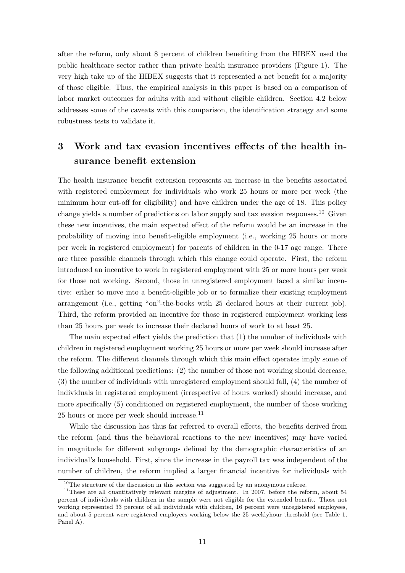after the reform, only about 8 percent of children benefiting from the HIBEX used the public healthcare sector rather than private health insurance providers (Figure 1). The very high take up of the HIBEX suggests that it represented a net benefit for a majority of those eligible. Thus, the empirical analysis in this paper is based on a comparison of labor market outcomes for adults with and without eligible children. Section 4.2 below addresses some of the caveats with this comparison, the identification strategy and some robustness tests to validate it.

## **3 Work and tax evasion incentives effects of the health insurance benefit extension**

The health insurance benefit extension represents an increase in the benefits associated with registered employment for individuals who work 25 hours or more per week (the minimum hour cut-off for eligibility) and have children under the age of 18. This policy change yields a number of predictions on labor supply and tax evasion responses.<sup>10</sup> Given these new incentives, the main expected effect of the reform would be an increase in the probability of moving into benefit-eligible employment (i.e., working 25 hours or more per week in registered employment) for parents of children in the 0-17 age range. There are three possible channels through which this change could operate. First, the reform introduced an incentive to work in registered employment with 25 or more hours per week for those not working. Second, those in unregistered employment faced a similar incentive: either to move into a benefit-eligible job or to formalize their existing employment arrangement (i.e., getting "on"-the-books with 25 declared hours at their current job). Third, the reform provided an incentive for those in registered employment working less than 25 hours per week to increase their declared hours of work to at least 25.

The main expected effect yields the prediction that (1) the number of individuals with children in registered employment working 25 hours or more per week should increase after the reform. The different channels through which this main effect operates imply some of the following additional predictions: (2) the number of those not working should decrease, (3) the number of individuals with unregistered employment should fall, (4) the number of individuals in registered employment (irrespective of hours worked) should increase, and more specifically (5) conditioned on registered employment, the number of those working 25 hours or more per week should increase.<sup>11</sup>

While the discussion has thus far referred to overall effects, the benefits derived from the reform (and thus the behavioral reactions to the new incentives) may have varied in magnitude for different subgroups defined by the demographic characteristics of an individual's household. First, since the increase in the payroll tax was independent of the number of children, the reform implied a larger financial incentive for individuals with

 $10$ The structure of the discussion in this section was suggested by an anonymous referee.

 $11$ These are all quantitatively relevant margins of adjustment. In 2007, before the reform, about 54 percent of individuals with children in the sample were not eligible for the extended benefit. Those not working represented 33 percent of all individuals with children, 16 percent were unregistered employees, and about 5 percent were registered employees working below the 25 weeklyhour threshold (see Table 1, Panel A).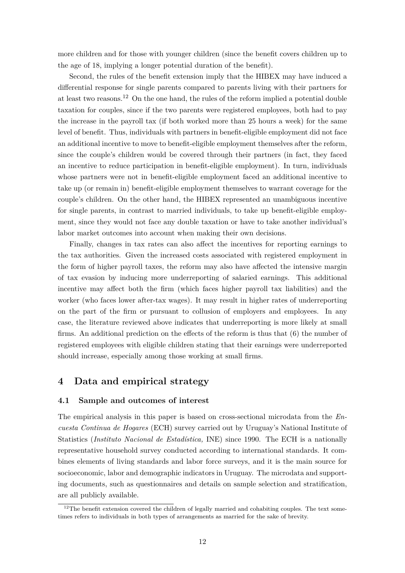more children and for those with younger children (since the benefit covers children up to the age of 18, implying a longer potential duration of the benefit).

Second, the rules of the benefit extension imply that the HIBEX may have induced a differential response for single parents compared to parents living with their partners for at least two reasons.<sup>12</sup> On the one hand, the rules of the reform implied a potential double taxation for couples, since if the two parents were registered employees, both had to pay the increase in the payroll tax (if both worked more than 25 hours a week) for the same level of benefit. Thus, individuals with partners in benefit-eligible employment did not face an additional incentive to move to benefit-eligible employment themselves after the reform, since the couple's children would be covered through their partners (in fact, they faced an incentive to reduce participation in benefit-eligible employment). In turn, individuals whose partners were not in benefit-eligible employment faced an additional incentive to take up (or remain in) benefit-eligible employment themselves to warrant coverage for the couple's children. On the other hand, the HIBEX represented an unambiguous incentive for single parents, in contrast to married individuals, to take up benefit-eligible employment, since they would not face any double taxation or have to take another individual's labor market outcomes into account when making their own decisions.

Finally, changes in tax rates can also affect the incentives for reporting earnings to the tax authorities. Given the increased costs associated with registered employment in the form of higher payroll taxes, the reform may also have affected the intensive margin of tax evasion by inducing more underreporting of salaried earnings. This additional incentive may affect both the firm (which faces higher payroll tax liabilities) and the worker (who faces lower after-tax wages). It may result in higher rates of underreporting on the part of the firm or pursuant to collusion of employers and employees. In any case, the literature reviewed above indicates that underreporting is more likely at small firms. An additional prediction on the effects of the reform is thus that (6) the number of registered employees with eligible children stating that their earnings were underreported should increase, especially among those working at small firms.

### **4 Data and empirical strategy**

#### **4.1 Sample and outcomes of interest**

The empirical analysis in this paper is based on cross-sectional microdata from the *Encuesta Continua de Hogares* (ECH) survey carried out by Uruguay's National Institute of Statistics (*Instituto Nacional de Estad´ıstica,* INE) since 1990. The ECH is a nationally representative household survey conducted according to international standards. It combines elements of living standards and labor force surveys, and it is the main source for socioeconomic, labor and demographic indicators in Uruguay. The microdata and supporting documents, such as questionnaires and details on sample selection and stratification, are all publicly available.

 $12$ The benefit extension covered the children of legally married and cohabiting couples. The text sometimes refers to individuals in both types of arrangements as married for the sake of brevity.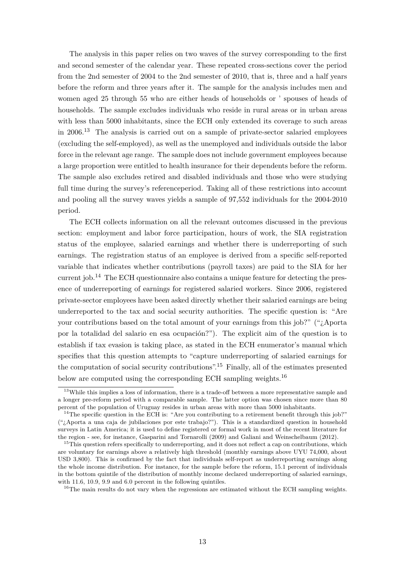The analysis in this paper relies on two waves of the survey corresponding to the first and second semester of the calendar year. These repeated cross-sections cover the period from the 2nd semester of 2004 to the 2nd semester of 2010, that is, three and a half years before the reform and three years after it. The sample for the analysis includes men and women aged 25 through 55 who are either heads of households or ' spouses of heads of households. The sample excludes individuals who reside in rural areas or in urban areas with less than 5000 inhabitants, since the ECH only extended its coverage to such areas in 2006.<sup>13</sup> The analysis is carried out on a sample of private-sector salaried employees (excluding the self-employed), as well as the unemployed and individuals outside the labor force in the relevant age range. The sample does not include government employees because a large proportion were entitled to health insurance for their dependents before the reform. The sample also excludes retired and disabled individuals and those who were studying full time during the survey's referenceperiod. Taking all of these restrictions into account and pooling all the survey waves yields a sample of 97,552 individuals for the 2004-2010 period.

The ECH collects information on all the relevant outcomes discussed in the previous section: employment and labor force participation, hours of work, the SIA registration status of the employee, salaried earnings and whether there is underreporting of such earnings. The registration status of an employee is derived from a specific self-reported variable that indicates whether contributions (payroll taxes) are paid to the SIA for her current job.<sup>14</sup> The ECH questionnaire also contains a unique feature for detecting the presence of underreporting of earnings for registered salaried workers. Since 2006, registered private-sector employees have been asked directly whether their salaried earnings are being underreported to the tax and social security authorities. The specific question is: "Are your contributions based on the total amount of your earnings from this job?" ("*i*,Aporta por la totalidad del salario en esa ocupación?"). The explicit aim of the question is to establish if tax evasion is taking place, as stated in the ECH enumerator's manual which specifies that this question attempts to "capture underreporting of salaried earnings for the computation of social security contributions".<sup>15</sup> Finally, all of the estimates presented below are computed using the corresponding ECH sampling weights.<sup>16</sup>

<sup>16</sup>The main results do not vary when the regressions are estimated without the ECH sampling weights.

 $13$ While this implies a loss of information, there is a trade-off between a more representative sample and a longer pre-reform period with a comparable sample. The latter option was chosen since more than 80 percent of the population of Uruguay resides in urban areas with more than 5000 inhabitants.

<sup>&</sup>lt;sup>14</sup>The specific question in the ECH is: "Are you contributing to a retirement benefit through this job?"  $"$ ; Aporta a una caja de jubilaciones por este trabajo?"). This is a standardized question in household surveys in Latin America; it is used to define registered or formal work in most of the recent literature for the region - see, for instance, Gasparini and Tornarolli (2009) and Galiani and Weinschelbaum (2012).

 $15$ This question refers specifically to underreporting, and it does not reflect a cap on contributions, which are voluntary for earnings above a relatively high threshold (monthly earnings above UYU 74,000, about USD 3,800). This is confirmed by the fact that individuals self-report as underreporting earnings along the whole income distribution. For instance, for the sample before the reform, 15.1 percent of individuals in the bottom quintile of the distribution of monthly income declared underreporting of salaried earnings, with 11.6, 10.9, 9.9 and 6.0 percent in the following quintiles.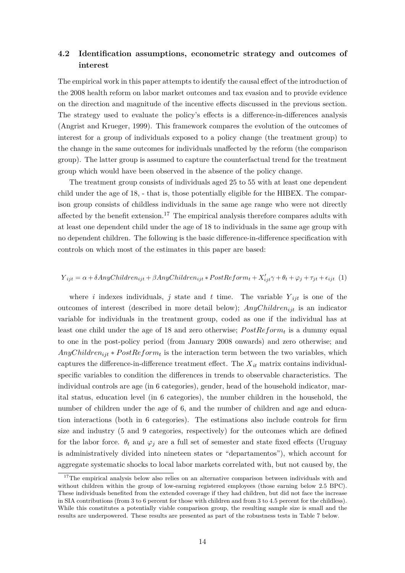## **4.2 Identification assumptions, econometric strategy and outcomes of interest**

The empirical work in this paper attempts to identify the causal effect of the introduction of the 2008 health reform on labor market outcomes and tax evasion and to provide evidence on the direction and magnitude of the incentive effects discussed in the previous section. The strategy used to evaluate the policy's effects is a difference-in-differences analysis (Angrist and Krueger, 1999). This framework compares the evolution of the outcomes of interest for a group of individuals exposed to a policy change (the treatment group) to the change in the same outcomes for individuals unaffected by the reform (the comparison group). The latter group is assumed to capture the counterfactual trend for the treatment group which would have been observed in the absence of the policy change.

The treatment group consists of individuals aged 25 to 55 with at least one dependent child under the age of 18, - that is, those potentially eligible for the HIBEX. The comparison group consists of childless individuals in the same age range who were not directly affected by the benefit extension.<sup>17</sup> The empirical analysis therefore compares adults with at least one dependent child under the age of 18 to individuals in the same age group with no dependent children. The following is the basic difference-in-difference specification with controls on which most of the estimates in this paper are based:

### $Y_{ijt} = \alpha + \delta AnyChildren_{ijt} + \beta AnyChildren_{ijt} * PostReform_t + X'_{ijt}\gamma + \theta_t + \varphi_j + \tau_{jt} + \epsilon_{ijt}$  (1)

where *i* indexes individuals, *j* state and *t* time. The variable  $Y_{ijt}$  is one of the outcomes of interest (described in more detail below); *AnyChildren<sub>iit</sub>* is an indicator variable for individuals in the treatment group, coded as one if the individual has at least one child under the age of 18 and zero otherwise;  $PostReform_t$  is a dummy equal to one in the post-policy period (from January 2008 onwards) and zero otherwise; and  $AnyChildren_{ijt}*PostReform_t$  is the interaction term between the two variables, which captures the difference-in-difference treatment effect. The  $X_{it}$  matrix contains individualspecific variables to condition the differences in trends to observable characteristics. The individual controls are age (in 6 categories), gender, head of the household indicator, marital status, education level (in 6 categories), the number children in the household, the number of children under the age of 6, and the number of children and age and education interactions (both in 6 categories). The estimations also include controls for firm size and industry (5 and 9 categories, respectively) for the outcomes which are defined for the labor force.  $\theta_t$  and  $\varphi_j$  are a full set of semester and state fixed effects (Uruguay is administratively divided into nineteen states or "departamentos"), which account for aggregate systematic shocks to local labor markets correlated with, but not caused by, the

<sup>&</sup>lt;sup>17</sup>The empirical analysis below also relies on an alternative comparison between individuals with and without children within the group of low-earning registered employees (those earning below 2.5 BPC). These individuals benefited from the extended coverage if they had children, but did not face the increase in SIA contributions (from 3 to 6 percent for those with children and from 3 to 4.5 percent for the childless). While this constitutes a potentially viable comparison group, the resulting sample size is small and the results are underpowered. These results are presented as part of the robustness tests in Table 7 below.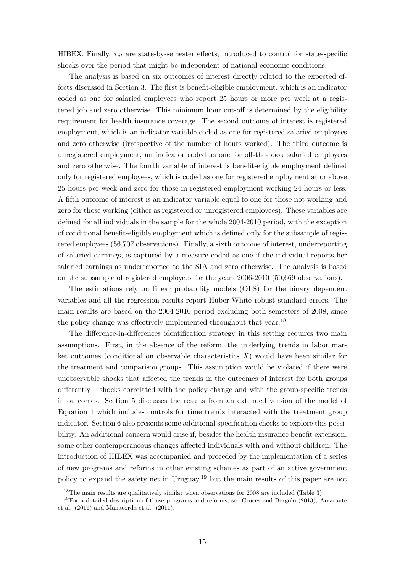HIBEX. Finally,  $\tau_{it}$  are state-by-semester effects, introduced to control for state-specific shocks over the period that might be independent of national economic conditions.

The analysis is based on six outcomes of interest directly related to the expected effects discussed in Section 3. The first is benefit-eligible employment, which is an indicator coded as one for salaried employees who report 25 hours or more per week at a registered job and zero otherwise. This minimum hour cut-off is determined by the eligibility requirement for health insurance coverage. The second outcome of interest is registered employment, which is an indicator variable coded as one for registered salaried employees and zero otherwise (irrespective of the number of hours worked). The third outcome is unregistered employment, an indicator coded as one for off-the-book salaried employees and zero otherwise. The fourth variable of interest is benefit-eligible employment defined only for registered employees, which is coded as one for registered employment at or above 25 hours per week and zero for those in registered employment working 24 hours or less. A fifth outcome of interest is an indicator variable equal to one for those not working and zero for those working (either as registered or unregistered employees). These variables are defined for all individuals in the sample for the whole 2004-2010 period, with the exception of conditional benefit-eligible employment which is defined only for the subsample of registered employees (56,707 observations). Finally, a sixth outcome of interest, underreporting of salaried earnings, is captured by a measure coded as one if the individual reports her salaried earnings as underreported to the SIA and zero otherwise. The analysis is based on the subsample of registered employees for the years 2006-2010 (50,669 observations).

The estimations rely on linear probability models (OLS) for the binary dependent variables and all the regression results report Huber-White robust standard errors. The main results are based on the 2004-2010 period excluding both semesters of 2008, since the policy change was effectively implemented throughout that year.<sup>18</sup>

The difference-in-differences identification strategy in this setting requires two main assumptions. First, in the absence of the reform, the underlying trends in labor market outcomes (conditional on observable characteristics *X*) would have been similar for the treatment and comparison groups. This assumption would be violated if there were unobservable shocks that affected the trends in the outcomes of interest for both groups differently – shocks correlated with the policy change and with the group-specific trends in outcomes. Section 5 discusses the results from an extended version of the model of Equation 1 which includes controls for time trends interacted with the treatment group indicator. Section 6 also presents some additional specification checks to explore this possibility. An additional concern would arise if, besides the health insurance benefit extension, some other contemporaneous changes affected individuals with and without children. The introduction of HIBEX was accompanied and preceded by the implementation of a series of new programs and reforms in other existing schemes as part of an active government policy to expand the safety net in Uruguay,<sup>19</sup> but the main results of this paper are not

<sup>&</sup>lt;sup>18</sup>The main results are qualitatively similar when observations for 2008 are included (Table 3).

 $19$ For a detailed description of those programs and reforms, see Cruces and Bergolo (2013), Amarante et al. (2011) and Manacorda et al. (2011).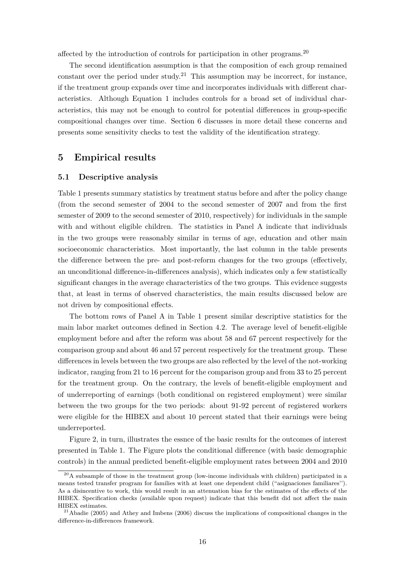affected by the introduction of controls for participation in other programs.<sup>20</sup>

The second identification assumption is that the composition of each group remained constant over the period under study.<sup>21</sup> This assumption may be incorrect, for instance, if the treatment group expands over time and incorporates individuals with different characteristics. Although Equation 1 includes controls for a broad set of individual characteristics, this may not be enough to control for potential differences in group-specific compositional changes over time. Section 6 discusses in more detail these concerns and presents some sensitivity checks to test the validity of the identification strategy.

### **5 Empirical results**

#### **5.1 Descriptive analysis**

Table 1 presents summary statistics by treatment status before and after the policy change (from the second semester of 2004 to the second semester of 2007 and from the first semester of 2009 to the second semester of 2010, respectively) for individuals in the sample with and without eligible children. The statistics in Panel A indicate that individuals in the two groups were reasonably similar in terms of age, education and other main socioeconomic characteristics. Most importantly, the last column in the table presents the difference between the pre- and post-reform changes for the two groups (effectively, an unconditional difference-in-differences analysis), which indicates only a few statistically significant changes in the average characteristics of the two groups. This evidence suggests that, at least in terms of observed characteristics, the main results discussed below are not driven by compositional effects.

The bottom rows of Panel A in Table 1 present similar descriptive statistics for the main labor market outcomes defined in Section 4.2. The average level of benefit-eligible employment before and after the reform was about 58 and 67 percent respectively for the comparison group and about 46 and 57 percent respectively for the treatment group. These differences in levels between the two groups are also reflected by the level of the not-working indicator, ranging from 21 to 16 percent for the comparison group and from 33 to 25 percent for the treatment group. On the contrary, the levels of benefit-eligible employment and of underreporting of earnings (both conditional on registered employment) were similar between the two groups for the two periods: about 91-92 percent of registered workers were eligible for the HIBEX and about 10 percent stated that their earnings were being underreported.

Figure 2, in turn, illustrates the essnce of the basic results for the outcomes of interest presented in Table 1. The Figure plots the conditional difference (with basic demographic controls) in the annual predicted benefit-eligible employment rates between 2004 and 2010

 $^{20}$ A subsample of those in the treatment group (low-income individuals with children) participated in a means tested transfer program for families with at least one dependent child ("asignaciones familiares''). As a disincentive to work, this would result in an attenuation bias for the estimates of the effects of the HIBEX. Specification checks (available upon request) indicate that this benefit did not affect the main HIBEX estimates.

 $^{21}$ Abadie (2005) and Athey and Imbens (2006) discuss the implications of compositional changes in the difference-in-differences framework.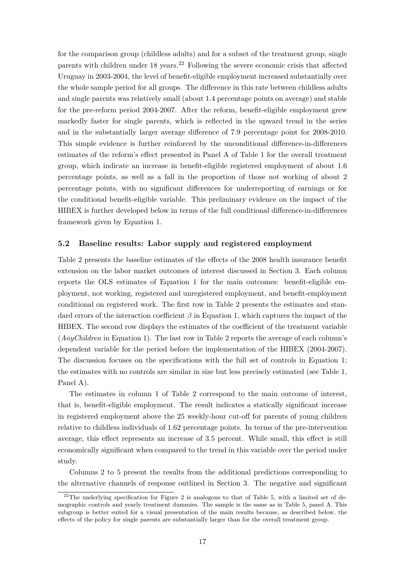for the comparison group (childless adults) and for a subset of the treatment group, single parents with children under  $18$  years.<sup>22</sup> Following the severe economic crisis that affected Uruguay in 2003-2004, the level of benefit-eligible employment increased substantially over the whole sample period for all groups. The difference in this rate between childless adults and single parents was relatively small (about 1.4 percentage points on average) and stable for the pre-reform period 2004-2007. After the reform, benefit-eligible employment grew markedly faster for single parents, which is reflected in the upward trend in the series and in the substantially larger average difference of 7.9 percentage point for 2008-2010. This simple evidence is further reinforced by the unconditional difference-in-differences estimates of the reform's effect presented in Panel A of Table 1 for the overall treatment group, which indicate an increase in benefit-eligible registered employment of about 1.6 percentage points, as well as a fall in the proportion of those not working of about 2 percentage points, with no significant differences for underreporting of earnings or for the conditional benefit-eligible variable. This preliminary evidence on the impact of the HIBEX is further developed below in terms of the full conditional difference-in-differences framework given by Equation 1.

#### **5.2 Baseline results: Labor supply and registered employment**

Table 2 presents the baseline estimates of the effects of the 2008 health insurance benefit extension on the labor market outcomes of interest discussed in Section 3. Each column reports the OLS estimates of Equation 1 for the main outcomes: benefit-eligible employment, not working, registered and unregistered employment, and benefit-employment conditional on registered work. The first row in Table 2 presents the estimates and standard errors of the interaction coefficient *β* in Equation 1, which captures the impact of the HIBEX. The second row displays the estimates of the coefficient of the treatment variable (*AnyChildren* in Equation 1). The last row in Table 2 reports the average of each column's dependent variable for the period before the implementation of the HIBEX (2004-2007). The discussion focuses on the specifications with the full set of controls in Equation 1; the estimates with no controls are similar in size but less precisely estimated (see Table 1, Panel A).

The estimates in column 1 of Table 2 correspond to the main outcome of interest, that is, benefit-eligible employment. The result indicates a statically significant increase in registered employment above the 25 weekly-hour cut-off for parents of young children relative to childless individuals of 1.62 percentage points. In terms of the pre-intervention average, this effect represents an increase of 3.5 percent. While small, this effect is still economically significant when compared to the trend in this variable over the period under study.

Columns 2 to 5 present the results from the additional predictions corresponding to the alternative channels of response outlined in Section 3. The negative and significant

 $22$ <sup>22</sup>The underlying specification for Figure 2 is analogous to that of Table 5, with a limited set of demographic controls and yearly treatment dummies. The sample is the same as in Table 5, panel A. This subgroup is better suited for a visual presentation of the main results because, as described below, the effects of the policy for single parents are substantially larger than for the overall treatment group.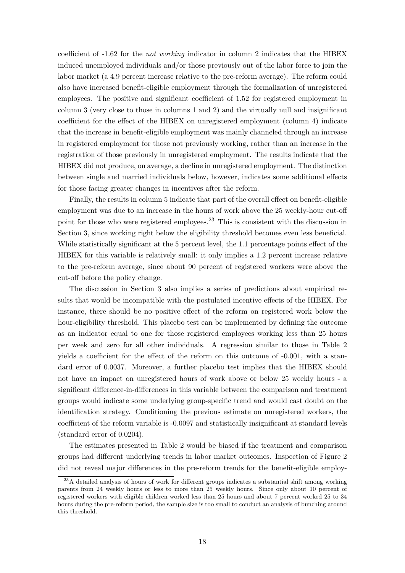coefficient of -1.62 for the *not working* indicator in column 2 indicates that the HIBEX induced unemployed individuals and/or those previously out of the labor force to join the labor market (a 4.9 percent increase relative to the pre-reform average). The reform could also have increased benefit-eligible employment through the formalization of unregistered employees. The positive and significant coefficient of 1.52 for registered employment in column 3 (very close to those in columns 1 and 2) and the virtually null and insignificant coefficient for the effect of the HIBEX on unregistered employment (column 4) indicate that the increase in benefit-eligible employment was mainly channeled through an increase in registered employment for those not previously working, rather than an increase in the registration of those previously in unregistered employment. The results indicate that the HIBEX did not produce, on average, a decline in unregistered employment. The distinction between single and married individuals below, however, indicates some additional effects for those facing greater changes in incentives after the reform.

Finally, the results in column 5 indicate that part of the overall effect on benefit-eligible employment was due to an increase in the hours of work above the 25 weekly-hour cut-off point for those who were registered employees.<sup>23</sup> This is consistent with the discussion in Section 3, since working right below the eligibility threshold becomes even less beneficial. While statistically significant at the 5 percent level, the 1.1 percentage points effect of the HIBEX for this variable is relatively small: it only implies a 1.2 percent increase relative to the pre-reform average, since about 90 percent of registered workers were above the cut-off before the policy change.

The discussion in Section 3 also implies a series of predictions about empirical results that would be incompatible with the postulated incentive effects of the HIBEX. For instance, there should be no positive effect of the reform on registered work below the hour-eligibility threshold. This placebo test can be implemented by defining the outcome as an indicator equal to one for those registered employees working less than 25 hours per week and zero for all other individuals. A regression similar to those in Table 2 yields a coefficient for the effect of the reform on this outcome of -0.001, with a standard error of 0.0037. Moreover, a further placebo test implies that the HIBEX should not have an impact on unregistered hours of work above or below 25 weekly hours - a significant difference-in-differences in this variable between the comparison and treatment groups would indicate some underlying group-specific trend and would cast doubt on the identification strategy. Conditioning the previous estimate on unregistered workers, the coefficient of the reform variable is -0.0097 and statistically insignificant at standard levels (standard error of 0.0204).

The estimates presented in Table 2 would be biased if the treatment and comparison groups had different underlying trends in labor market outcomes. Inspection of Figure 2 did not reveal major differences in the pre-reform trends for the benefit-eligible employ-

<sup>&</sup>lt;sup>23</sup>A detailed analysis of hours of work for different groups indicates a substantial shift among working parents from 24 weekly hours or less to more than 25 weekly hours. Since only about 10 percent of registered workers with eligible children worked less than 25 hours and about 7 percent worked 25 to 34 hours during the pre-reform period, the sample size is too small to conduct an analysis of bunching around this threshold.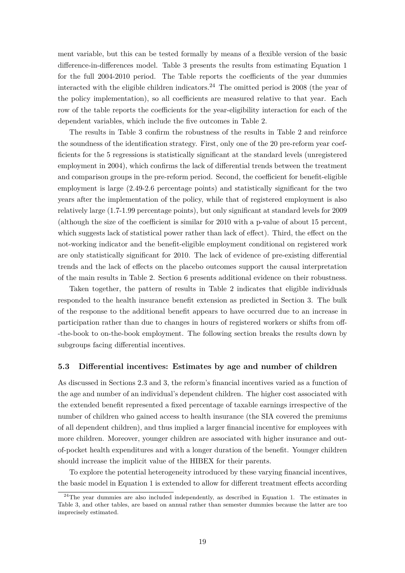ment variable, but this can be tested formally by means of a flexible version of the basic difference-in-differences model. Table 3 presents the results from estimating Equation 1 for the full 2004-2010 period. The Table reports the coefficients of the year dummies interacted with the eligible children indicators.<sup>24</sup> The omitted period is 2008 (the year of the policy implementation), so all coefficients are measured relative to that year. Each row of the table reports the coefficients for the year-eligibility interaction for each of the dependent variables, which include the five outcomes in Table 2.

The results in Table 3 confirm the robustness of the results in Table 2 and reinforce the soundness of the identification strategy. First, only one of the 20 pre-reform year coefficients for the 5 regressions is statistically significant at the standard levels (unregistered employment in 2004), which confirms the lack of differential trends between the treatment and comparison groups in the pre-reform period. Second, the coefficient for benefit-eligible employment is large (2.49-2.6 percentage points) and statistically significant for the two years after the implementation of the policy, while that of registered employment is also relatively large (1.7-1.99 percentage points), but only significant at standard levels for 2009 (although the size of the coefficient is similar for 2010 with a p-value of about 15 percent, which suggests lack of statistical power rather than lack of effect). Third, the effect on the not-working indicator and the benefit-eligible employment conditional on registered work are only statistically significant for 2010. The lack of evidence of pre-existing differential trends and the lack of effects on the placebo outcomes support the causal interpretation of the main results in Table 2. Section 6 presents additional evidence on their robustness.

Taken together, the pattern of results in Table 2 indicates that eligible individuals responded to the health insurance benefit extension as predicted in Section 3. The bulk of the response to the additional benefit appears to have occurred due to an increase in participation rather than due to changes in hours of registered workers or shifts from off- -the-book to on-the-book employment. The following section breaks the results down by subgroups facing differential incentives.

#### **5.3 Differential incentives: Estimates by age and number of children**

As discussed in Sections 2.3 and 3, the reform's financial incentives varied as a function of the age and number of an individual's dependent children. The higher cost associated with the extended benefit represented a fixed percentage of taxable earnings irrespective of the number of children who gained access to health insurance (the SIA covered the premiums of all dependent children), and thus implied a larger financial incentive for employees with more children. Moreover, younger children are associated with higher insurance and outof-pocket health expenditures and with a longer duration of the benefit. Younger children should increase the implicit value of the HIBEX for their parents.

To explore the potential heterogeneity introduced by these varying financial incentives, the basic model in Equation 1 is extended to allow for different treatment effects according

 $24$ The year dummies are also included independently, as described in Equation 1. The estimates in Table 3, and other tables, are based on annual rather than semester dummies because the latter are too imprecisely estimated.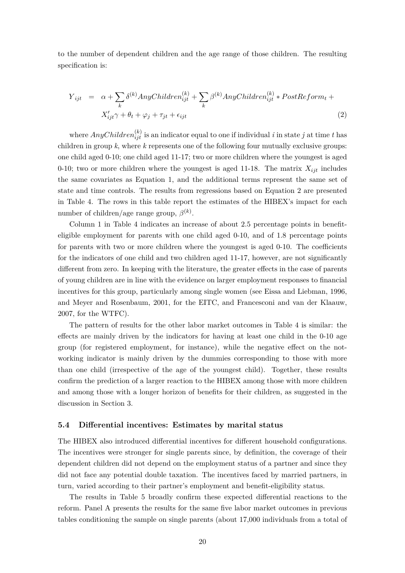to the number of dependent children and the age range of those children. The resulting specification is:

$$
Y_{ijt} = \alpha + \sum_{k} \delta^{(k)} \text{AnyChildren}_{ijt}^{(k)} + \sum_{k} \beta^{(k)} \text{AnyChildren}_{ijt}^{(k)} * \text{PostReform}_{t} +
$$
  

$$
X'_{ijt}\gamma + \theta_{t} + \varphi_{j} + \tau_{jt} + \epsilon_{ijt}
$$
 (2)

where  $AnyChildren^{(k)}_{ijt}$  is an indicator equal to one if individual *i* in state *j* at time *t* has children in group *k*, where *k* represents one of the following four mutually exclusive groups: one child aged 0-10; one child aged 11-17; two or more children where the youngest is aged 0-10; two or more children where the youngest is aged 11-18. The matrix  $X_{ijt}$  includes the same covariates as Equation 1, and the additional terms represent the same set of state and time controls. The results from regressions based on Equation 2 are presented in Table 4. The rows in this table report the estimates of the HIBEX's impact for each number of children/age range group,  $\beta^{(k)}$ .

Column 1 in Table 4 indicates an increase of about 2.5 percentage points in benefiteligible employment for parents with one child aged 0-10, and of 1.8 percentage points for parents with two or more children where the youngest is aged 0-10. The coefficients for the indicators of one child and two children aged 11-17, however, are not significantly different from zero. In keeping with the literature, the greater effects in the case of parents of young children are in line with the evidence on larger employment responses to financial incentives for this group, particularly among single women (see Eissa and Liebman, 1996, and Meyer and Rosenbaum, 2001, for the EITC, and Francesconi and van der Klaauw, 2007, for the WTFC).

The pattern of results for the other labor market outcomes in Table 4 is similar: the effects are mainly driven by the indicators for having at least one child in the 0-10 age group (for registered employment, for instance), while the negative effect on the notworking indicator is mainly driven by the dummies corresponding to those with more than one child (irrespective of the age of the youngest child). Together, these results confirm the prediction of a larger reaction to the HIBEX among those with more children and among those with a longer horizon of benefits for their children, as suggested in the discussion in Section 3.

#### **5.4 Differential incentives: Estimates by marital status**

The HIBEX also introduced differential incentives for different household configurations. The incentives were stronger for single parents since, by definition, the coverage of their dependent children did not depend on the employment status of a partner and since they did not face any potential double taxation. The incentives faced by married partners, in turn, varied according to their partner's employment and benefit-eligibility status.

The results in Table 5 broadly confirm these expected differential reactions to the reform. Panel A presents the results for the same five labor market outcomes in previous tables conditioning the sample on single parents (about 17,000 individuals from a total of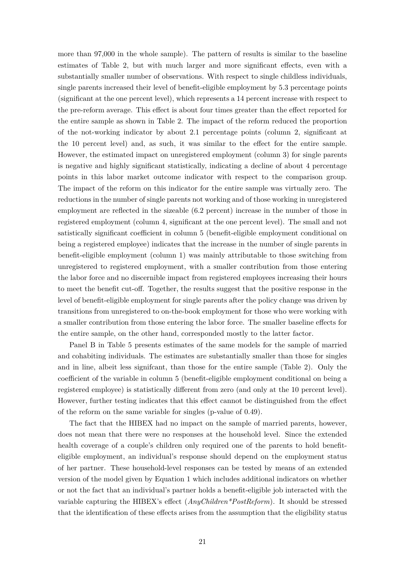more than 97,000 in the whole sample). The pattern of results is similar to the baseline estimates of Table 2, but with much larger and more significant effects, even with a substantially smaller number of observations. With respect to single childless individuals, single parents increased their level of benefit-eligible employment by 5.3 percentage points (significant at the one percent level), which represents a 14 percent increase with respect to the pre-reform average. This effect is about four times greater than the effect reported for the entire sample as shown in Table 2. The impact of the reform reduced the proportion of the not-working indicator by about 2.1 percentage points (column 2, significant at the 10 percent level) and, as such, it was similar to the effect for the entire sample. However, the estimated impact on unregistered employment (column 3) for single parents is negative and highly significant statistically, indicating a decline of about 4 percentage points in this labor market outcome indicator with respect to the comparison group. The impact of the reform on this indicator for the entire sample was virtually zero. The reductions in the number of single parents not working and of those working in unregistered employment are reflected in the sizeable (6.2 percent) increase in the number of those in registered employment (column 4, significant at the one percent level). The small and not satistically significant coefficient in column 5 (benefit-eligible employment conditional on being a registered employee) indicates that the increase in the number of single parents in benefit-eligible employment (column 1) was mainly attributable to those switching from unregistered to registered employment, with a smaller contribution from those entering the labor force and no discernible impact from registered employees increasing their hours to meet the benefit cut-off. Together, the results suggest that the positive response in the level of benefit-eligible employment for single parents after the policy change was driven by transitions from unregistered to on-the-book employment for those who were working with a smaller contribution from those entering the labor force. The smaller baseline effects for the entire sample, on the other hand, corresponded mostly to the latter factor.

Panel B in Table 5 presents estimates of the same models for the sample of married and cohabiting individuals. The estimates are substantially smaller than those for singles and in line, albeit less signifcant, than those for the entire sample (Table 2). Only the coefficient of the variable in column 5 (benefit-eligible employment conditional on being a registered employee) is statistically different from zero (and only at the 10 percent level). However, further testing indicates that this effect cannot be distinguished from the effect of the reform on the same variable for singles (p-value of 0.49).

The fact that the HIBEX had no impact on the sample of married parents, however, does not mean that there were no responses at the household level. Since the extended health coverage of a couple's children only required one of the parents to hold benefiteligible employment, an individual's response should depend on the employment status of her partner. These household-level responses can be tested by means of an extended version of the model given by Equation 1 which includes additional indicators on whether or not the fact that an individual's partner holds a benefit-eligible job interacted with the variable capturing the HIBEX's effect (*AnyChildren\*PostReform*). It should be stressed that the identification of these effects arises from the assumption that the eligibility status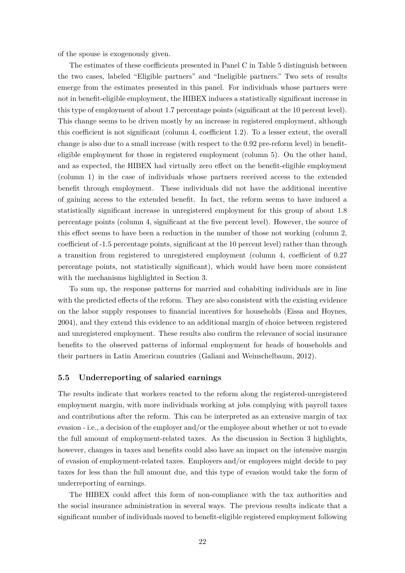of the spouse is exogenously given.

The estimates of these coefficients presented in Panel C in Table 5 distinguish between the two cases, labeled "Eligible partners" and "Ineligible partners." Two sets of results emerge from the estimates presented in this panel. For individuals whose partners were not in benefit-eligible employment, the HIBEX induces a statistically significant increase in this type of employment of about 1.7 percentage points (significant at the 10 percent level). This change seems to be driven mostly by an increase in registered employment, although this coefficient is not significant (column 4, coefficient 1.2). To a lesser extent, the overall change is also due to a small increase (with respect to the 0.92 pre-reform level) in benefiteligible employment for those in registered employment (column 5). On the other hand, and as expected, the HIBEX had virtually zero effect on the benefit-eligible employment (column 1) in the case of individuals whose partners received access to the extended benefit through employment. These individuals did not have the additional incentive of gaining access to the extended benefit. In fact, the reform seems to have induced a statistically significant increase in unregistered employment for this group of about 1.8 percentage points (column 4, significant at the five percent level). However, the source of this effect seems to have been a reduction in the number of those not working (column 2, coefficient of -1.5 percentage points, significant at the 10 percent level) rather than through a transition from registered to unregistered employment (column 4, coefficient of 0.27 percentage points, not statistically significant), which would have been more consistent with the mechanisms highlighted in Section 3.

To sum up, the response patterns for married and cohabiting individuals are in line with the predicted effects of the reform. They are also consistent with the existing evidence on the labor supply responses to financial incentives for households (Eissa and Hoynes, 2004), and they extend this evidence to an additional margin of choice between registered and unregistered employment. These results also confirm the relevance of social insurance benefits to the observed patterns of informal employment for heads of households and their partners in Latin American countries (Galiani and Weinschelbaum, 2012).

#### **5.5 Underreporting of salaried earnings**

The results indicate that workers reacted to the reform along the registered-unregistered employment margin, with more individuals working at jobs complying with payroll taxes and contributions after the reform. This can be interpreted as an extensive margin of tax evasion - i.e., a decision of the employer and/or the employee about whether or not to evade the full amount of employment-related taxes. As the discussion in Section 3 highlights, however, changes in taxes and benefits could also have an impact on the intensive margin of evasion of employment-related taxes. Employers and/or employees might decide to pay taxes for less than the full amount due, and this type of evasion would take the form of underreporting of earnings.

The HIBEX could affect this form of non-compliance with the tax authorities and the social insurance administration in several ways. The previous results indicate that a significant number of individuals moved to benefit-eligible registered employment following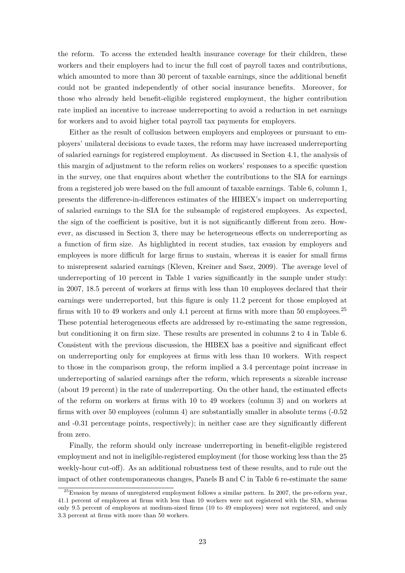the reform. To access the extended health insurance coverage for their children, these workers and their employers had to incur the full cost of payroll taxes and contributions, which amounted to more than 30 percent of taxable earnings, since the additional benefit could not be granted independently of other social insurance benefits. Moreover, for those who already held benefit-eligible registered employment, the higher contribution rate implied an incentive to increase underreporting to avoid a reduction in net earnings for workers and to avoid higher total payroll tax payments for employers.

Either as the result of collusion between employers and employees or pursuant to employers' unilateral decisions to evade taxes, the reform may have increased underreporting of salaried earnings for registered employment. As discussed in Section 4.1, the analysis of this margin of adjustment to the reform relies on workers' responses to a specific question in the survey, one that enquires about whether the contributions to the SIA for earnings from a registered job were based on the full amount of taxable earnings. Table 6, column 1, presents the difference-in-differences estimates of the HIBEX's impact on underreporting of salaried earnings to the SIA for the subsample of registered employees. As expected, the sign of the coefficient is positive, but it is not significantly different from zero. However, as discussed in Section 3, there may be heterogeneous effects on underreporting as a function of firm size. As highlighted in recent studies, tax evasion by employers and employees is more difficult for large firms to sustain, whereas it is easier for small firms to misrepresent salaried earnings (Kleven, Kreiner and Saez, 2009). The average level of underreporting of 10 percent in Table 1 varies significantly in the sample under study: in 2007, 18.5 percent of workers at firms with less than 10 employees declared that their earnings were underreported, but this figure is only 11.2 percent for those employed at firms with 10 to 49 workers and only 4.1 percent at firms with more than 50 employees.<sup>25</sup> These potential heterogeneous effects are addressed by re-estimating the same regression, but conditioning it on firm size. These results are presented in columns 2 to 4 in Table 6. Consistent with the previous discussion, the HIBEX has a positive and significant effect on underreporting only for employees at firms with less than 10 workers. With respect to those in the comparison group, the reform implied a 3.4 percentage point increase in underreporting of salaried earnings after the reform, which represents a sizeable increase (about 19 percent) in the rate of underreporting. On the other hand, the estimated effects of the reform on workers at firms with 10 to 49 workers (column 3) and on workers at firms with over 50 employees (column 4) are substantially smaller in absolute terms (-0.52 and -0.31 percentage points, respectively); in neither case are they significantly different from zero.

Finally, the reform should only increase underreporting in benefit-eligible registered employment and not in ineligible-registered employment (for those working less than the 25 weekly-hour cut-off). As an additional robustness test of these results, and to rule out the impact of other contemporaneous changes, Panels B and C in Table 6 re-estimate the same

 $^{25}$ Evasion by means of unregistered employment follows a similar pattern. In 2007, the pre-reform year, 41.1 percent of employees at firms with less than 10 workers were not registered with the SIA, whereas only 9.5 percent of employees at medium-sized firms (10 to 49 employees) were not registered, and only 3.3 percent at firms with more than 50 workers.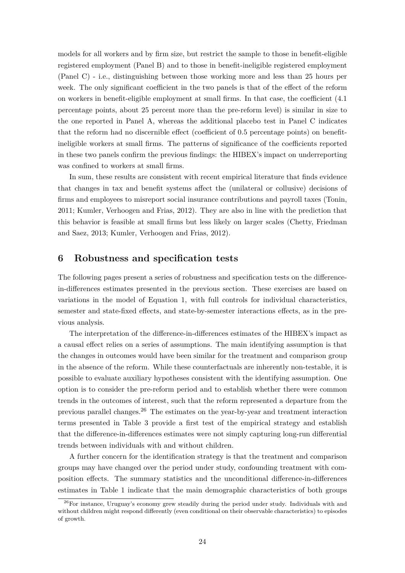models for all workers and by firm size, but restrict the sample to those in benefit-eligible registered employment (Panel B) and to those in benefit-ineligible registered employment (Panel C) - i.e., distinguishing between those working more and less than 25 hours per week. The only significant coefficient in the two panels is that of the effect of the reform on workers in benefit-eligible employment at small firms. In that case, the coefficient (4.1 percentage points, about 25 percent more than the pre-reform level) is similar in size to the one reported in Panel A, whereas the additional placebo test in Panel C indicates that the reform had no discernible effect (coefficient of 0.5 percentage points) on benefitineligible workers at small firms. The patterns of significance of the coefficients reported in these two panels confirm the previous findings: the HIBEX's impact on underreporting was confined to workers at small firms.

In sum, these results are consistent with recent empirical literature that finds evidence that changes in tax and benefit systems affect the (unilateral or collusive) decisions of firms and employees to misreport social insurance contributions and payroll taxes (Tonin, 2011; Kumler, Verhoogen and Frias, 2012). They are also in line with the prediction that this behavior is feasible at small firms but less likely on larger scales (Chetty, Friedman and Saez, 2013; Kumler, Verhoogen and Frias, 2012).

### **6 Robustness and specification tests**

The following pages present a series of robustness and specification tests on the differencein-differences estimates presented in the previous section. These exercises are based on variations in the model of Equation 1, with full controls for individual characteristics, semester and state-fixed effects, and state-by-semester interactions effects, as in the previous analysis.

The interpretation of the difference-in-differences estimates of the HIBEX's impact as a causal effect relies on a series of assumptions. The main identifying assumption is that the changes in outcomes would have been similar for the treatment and comparison group in the absence of the reform. While these counterfactuals are inherently non-testable, it is possible to evaluate auxiliary hypotheses consistent with the identifying assumption. One option is to consider the pre-reform period and to establish whether there were common trends in the outcomes of interest, such that the reform represented a departure from the previous parallel changes.<sup>26</sup> The estimates on the year-by-year and treatment interaction terms presented in Table 3 provide a first test of the empirical strategy and establish that the difference-in-differences estimates were not simply capturing long-run differential trends between individuals with and without children.

A further concern for the identification strategy is that the treatment and comparison groups may have changed over the period under study, confounding treatment with composition effects. The summary statistics and the unconditional difference-in-differences estimates in Table 1 indicate that the main demographic characteristics of both groups

 $26$ For instance, Uruguay's economy grew steadily during the period under study. Individuals with and without children might respond differently (even conditional on their observable characteristics) to episodes of growth.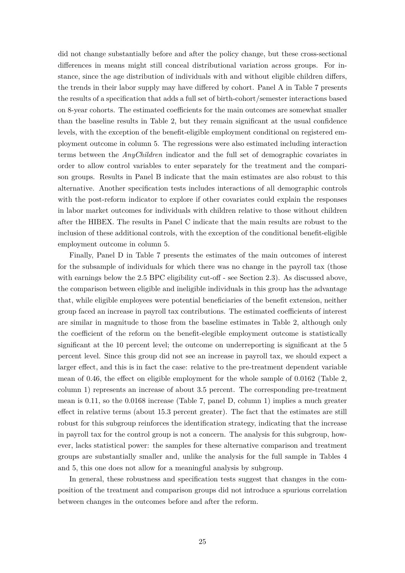did not change substantially before and after the policy change, but these cross-sectional differences in means might still conceal distributional variation across groups. For instance, since the age distribution of individuals with and without eligible children differs, the trends in their labor supply may have differed by cohort. Panel A in Table 7 presents the results of a specification that adds a full set of birth-cohort/semester interactions based on 8-year cohorts. The estimated coefficients for the main outcomes are somewhat smaller than the baseline results in Table 2, but they remain significant at the usual confidence levels, with the exception of the benefit-eligible employment conditional on registered employment outcome in column 5. The regressions were also estimated including interaction terms between the *AnyChildren* indicator and the full set of demographic covariates in order to allow control variables to enter separately for the treatment and the comparison groups. Results in Panel B indicate that the main estimates are also robust to this alternative. Another specification tests includes interactions of all demographic controls with the post-reform indicator to explore if other covariates could explain the responses in labor market outcomes for individuals with children relative to those without children after the HIBEX. The results in Panel C indicate that the main results are robust to the inclusion of these additional controls, with the exception of the conditional benefit-eligible employment outcome in column 5.

Finally, Panel D in Table 7 presents the estimates of the main outcomes of interest for the subsample of individuals for which there was no change in the payroll tax (those with earnings below the 2.5 BPC eligibility cut-off - see Section 2.3). As discussed above, the comparison between eligible and ineligible individuals in this group has the advantage that, while eligible employees were potential beneficiaries of the benefit extension, neither group faced an increase in payroll tax contributions. The estimated coefficients of interest are similar in magnitude to those from the baseline estimates in Table 2, although only the coefficient of the reform on the benefit-elegible employment outcome is statistically significant at the 10 percent level; the outcome on underreporting is significant at the 5 percent level. Since this group did not see an increase in payroll tax, we should expect a larger effect, and this is in fact the case: relative to the pre-treatment dependent variable mean of 0.46, the effect on eligible employment for the whole sample of 0.0162 (Table 2, column 1) represents an increase of about 3.5 percent. The corresponding pre-treatment mean is 0.11, so the 0.0168 increase (Table 7, panel D, column 1) implies a much greater effect in relative terms (about 15.3 percent greater). The fact that the estimates are still robust for this subgroup reinforces the identification strategy, indicating that the increase in payroll tax for the control group is not a concern. The analysis for this subgroup, however, lacks statistical power: the samples for these alternative comparison and treatment groups are substantially smaller and, unlike the analysis for the full sample in Tables 4 and 5, this one does not allow for a meaningful analysis by subgroup.

In general, these robustness and specification tests suggest that changes in the composition of the treatment and comparison groups did not introduce a spurious correlation between changes in the outcomes before and after the reform.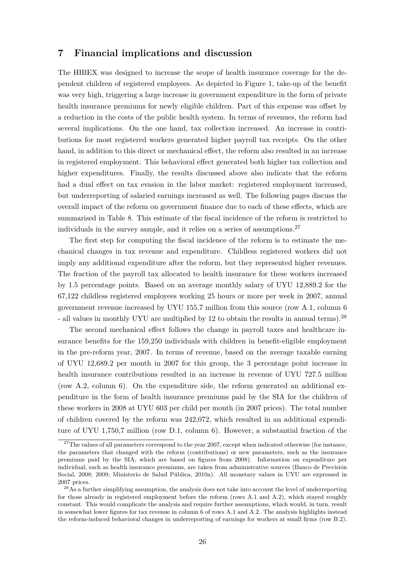### **7 Financial implications and discussion**

The HIBEX was designed to increase the scope of health insurance coverage for the dependent children of registered employees. As depicted in Figure 1, take-up of the benefit was very high, triggering a large increase in government expenditure in the form of private health insurance premiums for newly eligible children. Part of this expense was offset by a reduction in the costs of the public health system. In terms of revenues, the reform had several implications. On the one hand, tax collection increased. An increase in contributions for most registered workers generated higher payroll tax receipts. On the other hand, in addition to this direct or mechanical effect, the reform also resulted in an increase in registered employment. This behavioral effect generated both higher tax collection and higher expenditures. Finally, the results discussed above also indicate that the reform had a dual effect on tax evasion in the labor market: registered employment increased, but underreporting of salaried earnings increased as well. The following pages discuss the overall impact of the reform on government finance due to each of these effects, which are summarised in Table 8. This estimate of the fiscal incidence of the reform is restricted to individuals in the survey sample, and it relies on a series of assumptions.<sup>27</sup>

The first step for computing the fiscal incidence of the reform is to estimate the mechanical changes in tax revenue and expenditure. Childless registered workers did not imply any additional expenditure after the reform, but they represented higher revenues. The fraction of the payroll tax allocated to health insurance for these workers increased by 1.5 percentage points. Based on an average monthly salary of UYU 12,889.2 for the 67,122 childless registered employees working 25 hours or more per week in 2007, annual government revenue increased by UYU 155.7 million from this source (row A.1, column 6 - all values in monthly UYU are multiplied by 12 to obtain the results in annual terms).<sup>28</sup>

The second mechanical effect follows the change in payroll taxes and healthcare insurance benefits for the 159,250 individuals with children in benefit-eligible employment in the pre-reform year, 2007. In terms of revenue, based on the average taxable earning of UYU 12,689.2 per month in 2007 for this group, the 3 percentage point increase in health insurance contributions resulted in an increase in revenue of UYU 727.5 million (row A.2, column 6). On the expenditure side, the reform generated an additional expenditure in the form of health insurance premiums paid by the SIA for the children of these workers in 2008 at UYU 603 per child per month (in 2007 prices). The total number of children covered by the reform was 242,072, which resulted in an additional expenditure of UYU 1,750,7 million (row D.1, column 6). However, a substantial fraction of the

 $27$ The values of all parameters correspond to the year 2007, except when indicated otherwise (for instance, the parameters that changed with the reform (contributions) or new parameters, such as the insurance premiums paid by the SIA, which are based on figures from 2008). Information on expenditure per individual, such as health insurance premiums, are taken from administrative sources (Banco de Previsión Social, 2008; 2009; Ministerio de Salud Pública, 2010a). All monetary values in UYU are expressed in 2007 prices.

<sup>&</sup>lt;sup>28</sup>As a further simplifying assumption, the analysis does not take into account the level of underreporting for those already in registered employment before the reform (rows A.1 and A.2), which stayed roughly constant. This would complicate the analysis and require further assumptions, which would, in turn, result in somewhat lower figures for tax revenue in column 6 of rows A.1 and A.2. The analysis highlights instead the reform-induced behavioral changes in underreporting of earnings for workers at small firms (row B.2).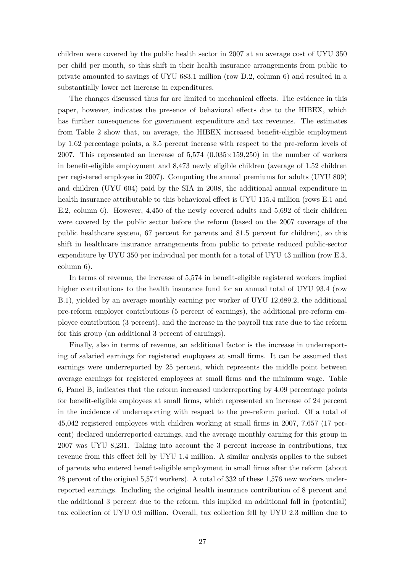children were covered by the public health sector in 2007 at an average cost of UYU 350 per child per month, so this shift in their health insurance arrangements from public to private amounted to savings of UYU 683.1 million (row D.2, column 6) and resulted in a substantially lower net increase in expenditures.

The changes discussed thus far are limited to mechanical effects. The evidence in this paper, however, indicates the presence of behavioral effects due to the HIBEX, which has further consequences for government expenditure and tax revenues. The estimates from Table 2 show that, on average, the HIBEX increased benefit-eligible employment by 1.62 percentage points, a 3.5 percent increase with respect to the pre-reform levels of 2007. This represented an increase of  $5,574$  (0.035 $\times$ 159,250) in the number of workers in benefit-eligible employment and 8,473 newly eligible children (average of 1.52 children per registered employee in 2007). Computing the annual premiums for adults (UYU 809) and children (UYU 604) paid by the SIA in 2008, the additional annual expenditure in health insurance attributable to this behavioral effect is UYU 115.4 million (rows E.1 and E.2, column 6). However, 4,450 of the newly covered adults and 5,692 of their children were covered by the public sector before the reform (based on the 2007 coverage of the public healthcare system, 67 percent for parents and 81.5 percent for children), so this shift in healthcare insurance arrangements from public to private reduced public-sector expenditure by UYU 350 per individual per month for a total of UYU 43 million (row E.3, column 6).

In terms of revenue, the increase of 5,574 in benefit-eligible registered workers implied higher contributions to the health insurance fund for an annual total of UYU 93.4 (row B.1), yielded by an average monthly earning per worker of UYU 12,689.2, the additional pre-reform employer contributions (5 percent of earnings), the additional pre-reform employee contribution (3 percent), and the increase in the payroll tax rate due to the reform for this group (an additional 3 percent of earnings).

Finally, also in terms of revenue, an additional factor is the increase in underreporting of salaried earnings for registered employees at small firms. It can be assumed that earnings were underreported by 25 percent, which represents the middle point between average earnings for registered employees at small firms and the minimum wage. Table 6, Panel B, indicates that the reform increased underreporting by 4.09 percentage points for benefit-eligible employees at small firms, which represented an increase of 24 percent in the incidence of underreporting with respect to the pre-reform period. Of a total of 45,042 registered employees with children working at small firms in 2007, 7,657 (17 percent) declared underreported earnings, and the average monthly earning for this group in 2007 was UYU 8,231. Taking into account the 3 percent increase in contributions, tax revenue from this effect fell by UYU 1.4 million. A similar analysis applies to the subset of parents who entered benefit-eligible employment in small firms after the reform (about 28 percent of the original 5,574 workers). A total of 332 of these 1,576 new workers underreported earnings. Including the original health insurance contribution of 8 percent and the additional 3 percent due to the reform, this implied an additional fall in (potential) tax collection of UYU 0.9 million. Overall, tax collection fell by UYU 2.3 million due to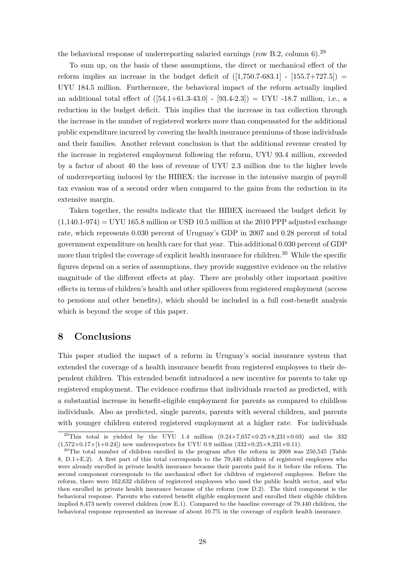the behavioral response of underreporting salaried earnings (row B.2, column 6).<sup>29</sup>

To sum up, on the basis of these assumptions, the direct or mechanical effect of the reform implies an increase in the budget deficit of  $([1,750.7-683.1] - [155.7+727.5]) =$ UYU 184.5 million. Furthermore, the behavioral impact of the reform actually implied an additional total effect of  $([54.1+61.3-43.0] - [93.4-2.3]) = UVU - 18.7$  million, i.e., a reduction in the budget deficit. This implies that the increase in tax collection through the increase in the number of registered workers more than compensated for the additional public expenditure incurred by covering the health insurance premiums of those individuals and their families. Another relevant conclusion is that the additional revenue created by the increase in registered employment following the reform, UYU 93.4 million, exceeded by a factor of about 40 the loss of revenue of UYU 2.3 million due to the higher levels of underreporting induced by the HIBEX; the increase in the intensive margin of payroll tax evasion was of a second order when compared to the gains from the reduction in its extensive margin.

Taken together, the results indicate that the HIBEX increased the budget deficit by  $(1,140.1-974) =$  UYU 165.8 million or USD 10.5 million at the 2010 PPP adjusted exchange rate, which represents 0.030 percent of Uruguay's GDP in 2007 and 0.28 percent of total government expenditure on health care for that year. This additional 0.030 percent of GDP more than tripled the coverage of explicit health insurance for children.<sup>30</sup> While the specific figures depend on a series of assumptions, they provide suggestive evidence on the relative magnitude of the different effects at play. There are probably other important positive effects in terms of children's health and other spillovers from registered employment (access to pensions and other benefits), which should be included in a full cost-benefit analysis which is beyond the scope of this paper.

### **8 Conclusions**

This paper studied the impact of a reform in Uruguay's social insurance system that extended the coverage of a health insurance benefit from registered employees to their dependent children. This extended benefit introduced a new incentive for parents to take up registered employment. The evidence confirms that individuals reacted as predicted, with a substantial increase in benefit-eligible employment for parents as compared to childless individuals. Also as predicted, single parents, parents with several children, and parents with younger children entered registered employment at a higher rate. For individuals

<sup>&</sup>lt;sup>29</sup>This total is yielded by the UYU 1.4 million  $(0.24 \times 7.657 \times 0.25 \times 8.231 \times 0.03)$  and the 332  $(1,572\times0.17\times1+0.24)$  new underreporters for UYU 0.9 million  $(332\times0.25\times8.231\times0.11)$ .

 $30$ The total number of children enrolled in the program after the reform in 2008 was 250,545 (Table 8, D.1+E.2). A first part of this total corresponds to the 79,440 children of registered employees who were already enrolled in private health insurance because their parents paid for it before the reform. The second component corresponds to the mechanical effect for children of registered employees. Before the reform, there were 162,632 children of registered employees who used the public health sector, and who then enrolled in private health insurance because of the reform (row D.2). The third component is the behavioral response. Parents who entered benefit eligible employment and enrolled their eligible children implied 8,473 newly covered children (row E.1). Compared to the baseline coverage of 79,440 children, the behavioral response represented an increase of about 10.7% in the coverage of explicit health insurance.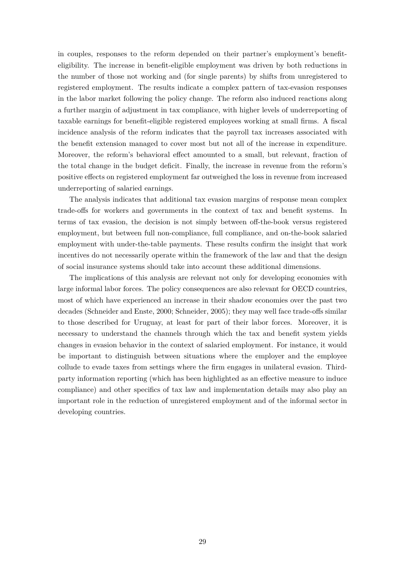in couples, responses to the reform depended on their partner's employment's benefiteligibility. The increase in benefit-eligible employment was driven by both reductions in the number of those not working and (for single parents) by shifts from unregistered to registered employment. The results indicate a complex pattern of tax-evasion responses in the labor market following the policy change. The reform also induced reactions along a further margin of adjustment in tax compliance, with higher levels of underreporting of taxable earnings for benefit-eligible registered employees working at small firms. A fiscal incidence analysis of the reform indicates that the payroll tax increases associated with the benefit extension managed to cover most but not all of the increase in expenditure. Moreover, the reform's behavioral effect amounted to a small, but relevant, fraction of the total change in the budget deficit. Finally, the increase in revenue from the reform's positive effects on registered employment far outweighed the loss in revenue from increased underreporting of salaried earnings.

The analysis indicates that additional tax evasion margins of response mean complex trade-offs for workers and governments in the context of tax and benefit systems. In terms of tax evasion, the decision is not simply between off-the-book versus registered employment, but between full non-compliance, full compliance, and on-the-book salaried employment with under-the-table payments. These results confirm the insight that work incentives do not necessarily operate within the framework of the law and that the design of social insurance systems should take into account these additional dimensions.

The implications of this analysis are relevant not only for developing economies with large informal labor forces. The policy consequences are also relevant for OECD countries, most of which have experienced an increase in their shadow economies over the past two decades (Schneider and Enste, 2000; Schneider, 2005); they may well face trade-offs similar to those described for Uruguay, at least for part of their labor forces. Moreover, it is necessary to understand the channels through which the tax and benefit system yields changes in evasion behavior in the context of salaried employment. For instance, it would be important to distinguish between situations where the employer and the employee collude to evade taxes from settings where the firm engages in unilateral evasion. Thirdparty information reporting (which has been highlighted as an effective measure to induce compliance) and other specifics of tax law and implementation details may also play an important role in the reduction of unregistered employment and of the informal sector in developing countries.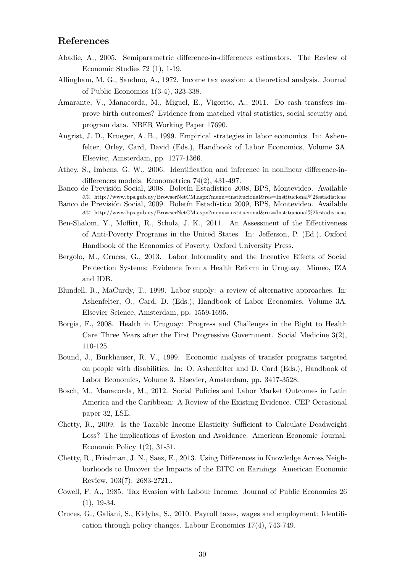## **References**

- Abadie, A., 2005. Semiparametric difference-in-differences estimators. The Review of Economic Studies 72 (1), 1-19.
- Allingham, M. G., Sandmo, A., 1972. Income tax evasion: a theoretical analysis. Journal of Public Economics 1(3-4), 323-338.
- Amarante, V., Manacorda, M., Miguel, E., Vigorito, A., 2011. Do cash transfers improve birth outcomes? Evidence from matched vital statistics, social security and program data. NBER Working Paper 17690.
- Angrist, J. D., Krueger, A. B., 1999. Empirical strategies in labor economics. In: Ashenfelter, Orley, Card, David (Eds.), Handbook of Labor Economics, Volume 3A. Elsevier, Amsterdam, pp. 1277-1366.
- Athey, S., Imbens, G. W., 2006. Identification and inference in nonlinear difference-indifferences models. Econometrica 74(2), 431-497.
- Banco de Previsión Social, 2008. Boletín Estadístico 2008, BPS, Montevideo. Available at: http://www.bps.gub.uy/BrowserNetCM.aspx?menu=institucional&res=Institucional%2festadisticas
- Banco de Previsión Social, 2009. Boletín Estadístico 2009, BPS, Montevideo. Available at: http://www.bps.gub.uy/BrowserNetCM.aspx?menu=institucional&res=Institucional%2festadisticas
- Ben-Shalom, Y., Moffitt, R., Scholz, J. K., 2011. An Assessment of the Effectiveness of Anti-Poverty Programs in the United States. In: Jefferson, P. (Ed.), Oxford Handbook of the Economics of Poverty, Oxford University Press.
- Bergolo, M., Cruces, G., 2013. Labor Informality and the Incentive Effects of Social Protection Systems: Evidence from a Health Reform in Uruguay. Mimeo, IZA and IDB.
- Blundell, R., MaCurdy, T., 1999. Labor supply: a review of alternative approaches. In: Ashenfelter, O., Card, D. (Eds.), Handbook of Labor Economics, Volume 3A. Elsevier Science, Amsterdam, pp. 1559-1695.
- Borgia, F., 2008. Health in Uruguay: Progress and Challenges in the Right to Health Care Three Years after the First Progressive Government. Social Medicine 3(2), 110-125.
- Bound, J., Burkhauser, R. V., 1999. Economic analysis of transfer programs targeted on people with disabilities. In: O. Ashenfelter and D. Card (Eds.), Handbook of Labor Economics, Volume 3. Elsevier, Amsterdam, pp. 3417-3528.
- Bosch, M., Manacorda, M., 2012. Social Policies and Labor Market Outcomes in Latin America and the Caribbean: A Review of the Existing Evidence. CEP Occasional paper 32, LSE.
- Chetty, R., 2009. Is the Taxable Income Elasticity Sufficient to Calculate Deadweight Loss? The implications of Evasion and Avoidance. American Economic Journal: Economic Policy 1(2), 31-51.
- Chetty, R., Friedman, J. N., Saez, E., 2013. Using Differences in Knowledge Across Neighborhoods to Uncover the Impacts of the EITC on Earnings. American Economic Review, 103(7): 2683-2721..
- Cowell, F. A., 1985. Tax Evasion with Labour Income. Journal of Public Economics 26  $(1), 19-34.$
- Cruces, G., Galiani, S., Kidyba, S., 2010. Payroll taxes, wages and employment: Identification through policy changes. Labour Economics 17(4), 743-749.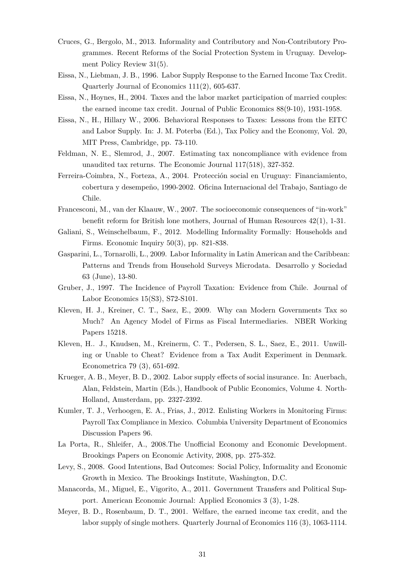- Cruces, G., Bergolo, M., 2013. Informality and Contributory and Non-Contributory Programmes. Recent Reforms of the Social Protection System in Uruguay. Development Policy Review 31(5).
- Eissa, N., Liebman, J. B., 1996. Labor Supply Response to the Earned Income Tax Credit. Quarterly Journal of Economics 111(2), 605-637.
- Eissa, N., Hoynes, H., 2004. Taxes and the labor market participation of married couples: the earned income tax credit. Journal of Public Economics 88(9-10), 1931-1958.
- Eissa, N., H., Hillary W., 2006. Behavioral Responses to Taxes: Lessons from the EITC and Labor Supply. In: J. M. Poterba (Ed.), Tax Policy and the Economy, Vol. 20, MIT Press, Cambridge, pp. 73-110.
- Feldman, N. E., Slemrod, J., 2007. Estimating tax noncompliance with evidence from unaudited tax returns. The Economic Journal 117(518), 327-352.
- Ferreira-Coimbra, N., Forteza, A., 2004. Protección social en Uruguay: Financiamiento, cobertura y desempe˜no, 1990-2002. Oficina Internacional del Trabajo, Santiago de Chile.
- Francesconi, M., van der Klaauw, W., 2007. The socioeconomic consequences of "in-work" benefit reform for British lone mothers, Journal of Human Resources 42(1), 1-31.
- Galiani, S., Weinschelbaum, F., 2012. Modelling Informality Formally: Households and Firms. Economic Inquiry 50(3), pp. 821-838.
- Gasparini, L., Tornarolli, L., 2009. Labor Informality in Latin American and the Caribbean: Patterns and Trends from Household Surveys Microdata. Desarrollo y Sociedad 63 (June), 13-80.
- Gruber, J., 1997. The Incidence of Payroll Taxation: Evidence from Chile. Journal of Labor Economics 15(S3), S72-S101.
- Kleven, H. J., Kreiner, C. T., Saez, E., 2009. Why can Modern Governments Tax so Much? An Agency Model of Firms as Fiscal Intermediaries. NBER Working Papers 15218.
- Kleven, H.. J., Knudsen, M., Kreinerm, C. T., Pedersen, S. L., Saez, E., 2011. Unwilling or Unable to Cheat? Evidence from a Tax Audit Experiment in Denmark. Econometrica 79 (3), 651-692.
- Krueger, A. B., Meyer, B. D., 2002. Labor supply effects of social insurance. In: Auerbach, Alan, Feldstein, Martin (Eds.), Handbook of Public Economics, Volume 4. North-Holland, Amsterdam, pp. 2327-2392.
- Kumler, T. J., Verhoogen, E. A., Frias, J., 2012. Enlisting Workers in Monitoring Firms: Payroll Tax Compliance in Mexico. Columbia University Department of Economics Discussion Papers 96.
- La Porta, R., Shleifer, A., 2008.The Unofficial Economy and Economic Development. Brookings Papers on Economic Activity, 2008, pp. 275-352.
- Levy, S., 2008. Good Intentions, Bad Outcomes: Social Policy, Informality and Economic Growth in Mexico. The Brookings Institute, Washington, D.C.
- Manacorda, M., Miguel, E., Vigorito, A., 2011. Government Transfers and Political Support. American Economic Journal: Applied Economics 3 (3), 1-28.
- Meyer, B. D., Rosenbaum, D. T., 2001. Welfare, the earned income tax credit, and the labor supply of single mothers. Quarterly Journal of Economics 116 (3), 1063-1114.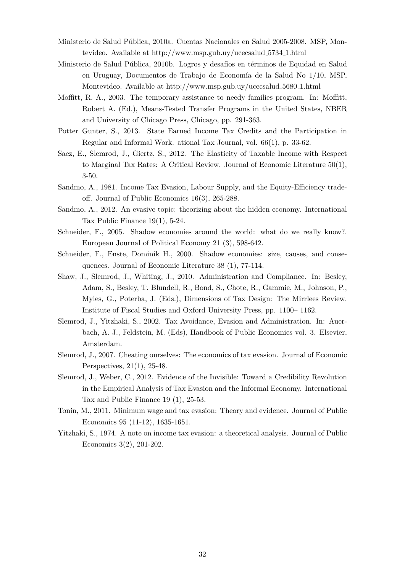- Ministerio de Salud Pública, 2010a. Cuentas Nacionales en Salud 2005-2008. MSP, Montevideo. Available at http://www.msp.gub.uy/ucecsalud 5734 1.html
- Ministerio de Salud Pública, 2010b. Logros y desafíos en términos de Equidad en Salud en Uruguay, Documentos de Trabajo de Economía de la Salud No  $1/10$ , MSP, Montevideo. Available at http://www.msp.gub.uy/ucecsalud 5680 1.html
- Moffitt, R. A., 2003. The temporary assistance to needy families program. In: Moffitt, Robert A. (Ed.), Means-Tested Transfer Programs in the United States, NBER and University of Chicago Press, Chicago, pp. 291-363.
- Potter Gunter, S., 2013. State Earned Income Tax Credits and the Participation in Regular and Informal Work. ational Tax Journal, vol. 66(1), p. 33-62.
- Saez, E., Slemrod, J., Giertz, S., 2012. The Elasticity of Taxable Income with Respect to Marginal Tax Rates: A Critical Review. Journal of Economic Literature 50(1), 3-50.
- Sandmo, A., 1981. Income Tax Evasion, Labour Supply, and the Equity-Efficiency tradeoff. Journal of Public Economics 16(3), 265-288.
- Sandmo, A., 2012. An evasive topic: theorizing about the hidden economy. International Tax Public Finance 19(1), 5-24.
- Schneider, F., 2005. Shadow economies around the world: what do we really know?. European Journal of Political Economy 21 (3), 598-642.
- Schneider, F., Enste, Dominik H., 2000. Shadow economies: size, causes, and consequences. Journal of Economic Literature 38 (1), 77-114.
- Shaw, J., Slemrod, J., Whiting, J., 2010. Administration and Compliance. In: Besley, Adam, S., Besley, T. Blundell, R., Bond, S., Chote, R., Gammie, M., Johnson, P., Myles, G., Poterba, J. (Eds.), Dimensions of Tax Design: The Mirrlees Review. Institute of Fiscal Studies and Oxford University Press, pp. 1100– 1162.
- Slemrod, J., Yitzhaki, S., 2002. Tax Avoidance, Evasion and Administration. In: Auerbach, A. J., Feldstein, M. (Eds), Handbook of Public Economics vol. 3. Elsevier, Amsterdam.
- Slemrod, J., 2007. Cheating ourselves: The economics of tax evasion. Journal of Economic Perspectives, 21(1), 25-48.
- Slemrod, J., Weber, C., 2012. Evidence of the Invisible: Toward a Credibility Revolution in the Empirical Analysis of Tax Evasion and the Informal Economy. International Tax and Public Finance 19 (1), 25-53.
- Tonin, M., 2011. Minimum wage and tax evasion: Theory and evidence. Journal of Public Economics 95 (11-12), 1635-1651.
- Yitzhaki, S., 1974. A note on income tax evasion: a theoretical analysis. Journal of Public Economics 3(2), 201-202.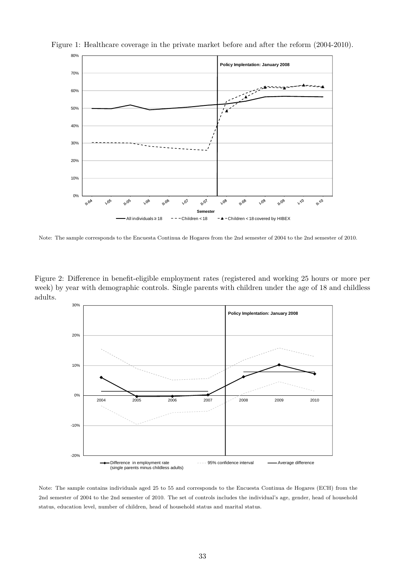

Figure 1: Healthcare coverage in the private market before and after the reform (2004-2010).

Note: The sample corresponds to the Encuesta Continua de Hogares from the 2nd semester of 2004 to the 2nd semester of 2010.

Figure 2: Difference in benefit-eligible employment rates (registered and working 25 hours or more per week) by year with demographic controls. Single parents with children under the age of 18 and childless adults.



Note: The sample contains individuals aged 25 to 55 and corresponds to the Encuesta Continua de Hogares (ECH) from the 2nd semester of 2004 to the 2nd semester of 2010. The set of controls includes the individual's age, gender, head of household status, education level, number of children, head of household status and marital status.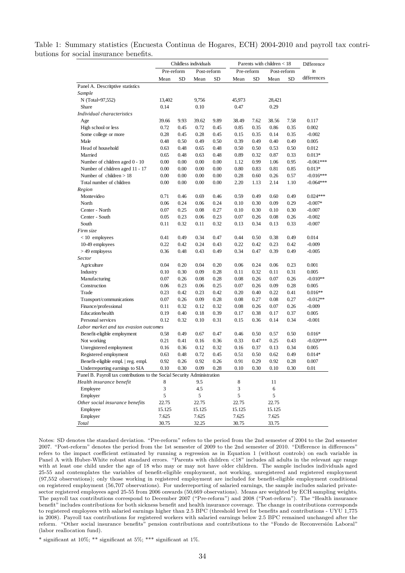| Table 1: Summary statistics (Encuesta Continua de Hogares, ECH) 2004-2010 and payroll tax contri- |  |  |  |  |  |  |
|---------------------------------------------------------------------------------------------------|--|--|--|--|--|--|
| butions for social insurance benefits.                                                            |  |  |  |  |  |  |

| Pre-reform<br>Pre-reform<br>Post-reform<br>Post-reform<br><b>SD</b><br><b>SD</b><br><b>SD</b><br><b>SD</b><br>Mean<br>Mean<br>Mean<br>Mean<br>Panel A. Descritptive statistics | in<br>differences |
|--------------------------------------------------------------------------------------------------------------------------------------------------------------------------------|-------------------|
|                                                                                                                                                                                |                   |
|                                                                                                                                                                                |                   |
|                                                                                                                                                                                |                   |
| Sample                                                                                                                                                                         |                   |
| N (Total=97,552)<br>13,402<br>9,756<br>45,973<br>28,421                                                                                                                        |                   |
| Share<br>0.14<br>0.10<br>0.47<br>0.29                                                                                                                                          |                   |
| Individual characteristics                                                                                                                                                     |                   |
| 39.66<br>9.93<br>39.62<br>9.89<br>38.49<br>7.62<br>38.56<br>7.58<br>Age                                                                                                        | 0.117             |
| 0.72<br>0.72<br>0.45<br>0.85<br>0.35<br>0.86<br>0.35<br>High school or less<br>0.45                                                                                            | 0.002             |
| Some college or more<br>0.28<br>0.45<br>0.28<br>0.45<br>0.15<br>0.35<br>0.14<br>0.35                                                                                           | $-0.002$          |
| 0.39<br>0.49<br>Male<br>0.48<br>0.50<br>0.49<br>0.50<br>0.49<br>0.40                                                                                                           | 0.005             |
| Head of household<br>0.48<br>0.50<br>0.50<br>0.53<br>0.50<br>0.63<br>0.65<br>0.48                                                                                              | 0.012             |
| 0.65<br>0.48<br>0.48<br>0.89<br>0.87<br>0.33<br>Married<br>0.63<br>0.32                                                                                                        | $0.013*$          |
| 0.00<br>0.00<br>0.99<br>0.95<br>Number of children aged 0 - 10<br>0.00<br>0.00<br>1.12<br>1.06                                                                                 | $-0.061***$       |
| Number of children aged 11 - 17<br>0.80<br>0.83<br>0.81<br>0.85<br>0.00<br>0.00<br>0.00<br>0.00                                                                                | $0.013*$          |
| Number of children $> 18$<br>0.28<br>0.26<br>0.57<br>0.00<br>0.00<br>0.00<br>0.00<br>0.60                                                                                      | $-0.016***$       |
| 2.20<br>2.14<br>Total number of children<br>0.00<br>0.00<br>0.00<br>0.00<br>1.13<br>1.10                                                                                       | $-0.064***$       |
| Region                                                                                                                                                                         |                   |
| 0.59<br>0.49<br>0.49<br>Montevideo<br>0.71<br>0.46<br>0.69<br>0.46<br>0.60                                                                                                     | $0.024***$        |
| 0.06<br>0.24<br>0.24<br>0.10<br>0.30<br>0.09<br>0.29<br>North<br>0.06                                                                                                          | $-0.007*$         |
| 0.07<br>0.25<br>0.08<br>0.27<br>0.10<br>0.30<br>0.10<br>0.30<br>Center - North                                                                                                 | $-0.007$          |
| 0.07<br>0.08<br>0.26<br>Center - South<br>0.05<br>0.23<br>0.06<br>0.23<br>0.26                                                                                                 | $-0.002$          |
| 0.11<br>0.32<br>0.32<br>0.13<br>0.34<br>0.13<br>0.33<br>South<br>0.11                                                                                                          | $-0.007$          |
| Firm size                                                                                                                                                                      |                   |
| 0.41<br>0.49<br>0.47<br>0.44<br>0.50<br>0.38<br>0.49<br>$< 10$ employees<br>0.34                                                                                               | 0.014             |
| 10-49 employees<br>0.22<br>0.42<br>0.24<br>0.43<br>0.22<br>0.42<br>0.23<br>0.42                                                                                                | $-0.009$          |
| $>49$ employess<br>0.49<br>0.34<br>0.39<br>0.49<br>0.36<br>0.48<br>0.43<br>0.47                                                                                                | $-0.005$          |
| Sector                                                                                                                                                                         |                   |
| 0.04<br>0.20<br>0.04<br>0.20<br>0.06<br>0.24<br>0.06<br>0.23<br>Agriculture                                                                                                    | 0.001             |
| Industry<br>0.11<br>0.11<br>0.31<br>0.10<br>0.30<br>0.09<br>0.28<br>0.32                                                                                                       | 0.005             |
| Manufacturing<br>0.07<br>0.08<br>0.26<br>0.07<br>0.26<br>0.26<br>0.08<br>0.28                                                                                                  | $-0.010**$        |
| Construction<br>0.06<br>0.23<br>0.25<br>0.07<br>0.26<br>0.09<br>0.28<br>0.06                                                                                                   | 0.005             |
| 0.23<br>0.42<br>0.42<br>0.20<br>0.22<br>0.41<br>Trade<br>0.23<br>0.40                                                                                                          | $0.016**$         |
| 0.08<br>0.27<br>0.08<br>0.27<br>Transport/communications<br>0.07<br>0.26<br>0.09<br>0.28                                                                                       | $-0.012**$        |
| Finance/professional<br>0.08<br>0.07<br>0.26<br>0.11<br>0.32<br>0.12<br>0.32<br>0.26                                                                                           | $-0.009$          |
| Education/health<br>0.19<br>0.40<br>0.39<br>0.17<br>0.38<br>0.17<br>0.37<br>0.18                                                                                               | 0.005             |
| Personal services<br>0.12<br>0.32<br>0.31<br>0.15<br>0.14<br>0.34<br>0.10<br>0.36                                                                                              | $-0.001$          |
| Labor market and tax evasion outcomes                                                                                                                                          |                   |
| Benefit-eligible employment<br>0.47<br>0.46<br>0.50<br>0.50<br>0.58<br>0.49<br>0.67<br>0.57                                                                                    | $0.016*$          |
| Not working<br>0.33<br>0.47<br>0.25<br>0.43<br>0.21<br>0.41<br>0.16<br>0.36                                                                                                    | $-0.020***$       |
| Unregistered employment<br>0.16<br>0.36<br>0.12<br>0.32<br>0.16<br>0.37<br>0.13<br>0.34                                                                                        | 0.005             |
| Registered employment<br>0.72<br>0.45<br>0.51<br>0.50<br>0.62<br>0.49<br>0.63<br>0.48                                                                                          | $0.014*$          |
| Benefit-eligible empl.   reg. empl.<br>0.92<br>0.26<br>0.92<br>0.26<br>0.91<br>0.29<br>0.92<br>0.28                                                                            | 0.007             |
| Underreporting earnings to SIA<br>0.10<br>0.30<br>0.09<br>0.10<br>0.30<br>0.10<br>0.28<br>0.30                                                                                 | 0.01              |
| Panel B. Payroll tax contributions to the Social Security Administration                                                                                                       |                   |
| Health insurance benefit<br>8<br>9.5<br>11<br>8                                                                                                                                |                   |
| 3<br>4.5<br>3<br>Employee<br>6                                                                                                                                                 |                   |
| 5<br>5<br>5<br>5<br>Employer                                                                                                                                                   |                   |
| Other social insurance benefits<br>22.75<br>22.75<br>22.75<br>22.75                                                                                                            |                   |
| 15.125<br>Employee<br>15.125<br>15.125<br>15.125                                                                                                                               |                   |
| Employer<br>7.625<br>7.625<br>7.625<br>7.625                                                                                                                                   |                   |
| 30.75<br>32.25<br>Total<br>30.75<br>33.75                                                                                                                                      |                   |

Notes: SD denotes the standard deviation. "Pre-reform" refers to the period from the 2nd semester of 2004 to the 2nd semester 2007. "Post-reform" denotes the period from the 1st semester of 2009 to the 2nd semester of 2010. "Difference in differences" refers to the impact coefficient estimated by running a regression as in Equation 1 (without controls) on each variable in Panel A with Huber-White robust standard errors. "Parents with children *<*18" includes all adults in the relevant age range with at least one child under the age of 18 who may or may not have older children. The sample includes individuals aged 25-55 and contemplates the variables of benefit-eligible employment, not working, unregistered and registered employment (97,552 observations); only those working in registered employment are included for benefit-eligible employment conditional on registered employment (56,707 observations). For underreporting of salaried earnings, the sample includes salaried privatesector registered employees aged 25-55 from 2006 onwards (50,669 observations). Means are weighted by ECH sampling weights. The payroll tax contributions correspond to December 2007 ("Pre-reform") and 2008 ("Post-reform"). The "Health insurance benefit" includes contributions for both sickness benefit and health insurance coverage. The change in contributions corresponds to registered employees with salaried earnings higher than 2.5 BPC (threshold level for benefits and contributions - UYU 1,775 in 2008). Payroll tax contributions for registered workers with salaried earnings below 2.5 BPC remained unchanged after the reform. "Other social insurance benefits" pension contributions and contributions to the "Fondo de Reconversión Laboral" (labor reallocation fund).

\* significant at 10%; \*\* significant at 5%; \*\*\* significant at 1%.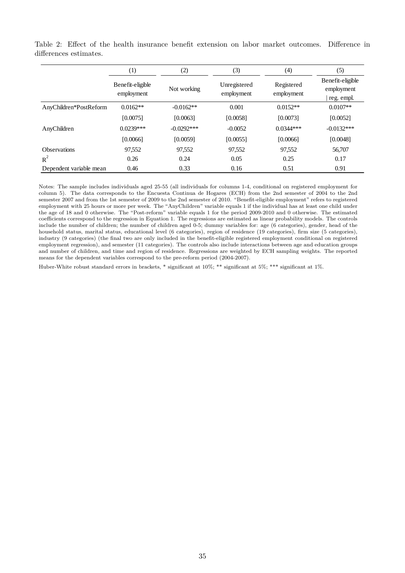|                         | (1)                            | (2)          | (3)                        | (4)                      | (5)                                          |
|-------------------------|--------------------------------|--------------|----------------------------|--------------------------|----------------------------------------------|
|                         | Benefit-eligible<br>employment | Not working  | Unregistered<br>employment | Registered<br>employment | Benefit-eligible<br>employment<br>reg. empl. |
| AnyChildren*PostReform  | $0.0162**$                     | $-0.0162**$  | 0.001                      | $0.0152**$               | $0.0107**$                                   |
|                         | [0.0075]                       | [0.0063]     | [0.0058]                   | [0.0073]                 | [0.0052]                                     |
| AnyChildren             | $0.0239***$                    | $-0.0292***$ | $-0.0052$                  | $0.0344***$              | $-0.0132***$                                 |
|                         | [0.0066]                       | [0.0059]     | [0.0055]                   | [0.0066]                 | [0.0048]                                     |
| <b>Observations</b>     | 97,552                         | 97,552       | 97,552                     | 97,552                   | 56,707                                       |
| $R^2$                   | 0.26                           | 0.24         | 0.05                       | 0.25                     | 0.17                                         |
| Dependent variable mean | 0.46                           | 0.33         | 0.16                       | 0.51                     | 0.91                                         |

Table 2: Effect of the health insurance benefit extension on labor market outcomes. Difference in differences estimates.

Notes: The sample includes individuals aged 25-55 (all individuals for columns 1-4, conditional on registered employment for column 5). The data corresponds to the Encuesta Continua de Hogares (ECH) from the 2nd semester of 2004 to the 2nd semester 2007 and from the 1st semester of 2009 to the 2nd semester of 2010. "Benefit-eligible employment" refers to registered employment with 25 hours or more per week. The "AnyChildren" variable equals 1 if the individual has at least one child under the age of 18 and 0 otherwise. The "Post-reform" variable equals 1 for the period 2009-2010 and 0 otherwise. The estimated coefficients correspond to the regression in Equation 1. The regressions are estimated as linear probability models. The controls include the number of children; the number of children aged 0-5; dummy variables for: age (6 categories), gender, head of the household status, marital status, educational level (6 categories), region of residence (19 categories), firm size (5 categories), industry (9 categories) (the final two are only included in the benefit-eligible registered employment conditional on registered employment regression), and semester (11 categories). The controls also include interactions between age and education groups and number of children, and time and region of residence. Regressions are weighted by ECH sampling weights. The reported means for the dependent variables correspond to the pre-reform period (2004-2007).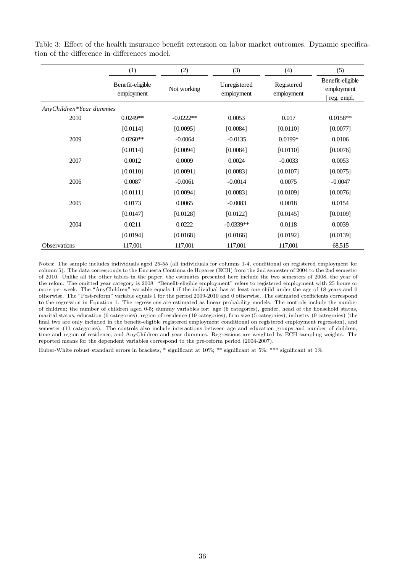|                          | (1)                            | (2)         | (3)                        | (4)                      | (5)                                          |
|--------------------------|--------------------------------|-------------|----------------------------|--------------------------|----------------------------------------------|
|                          | Benefit-eligible<br>employment | Not working | Unregistered<br>employment | Registered<br>employment | Benefit-eligible<br>employment<br>reg. empl. |
| AnyChildren*Year dummies |                                |             |                            |                          |                                              |
| 2010                     | $0.0249**$                     | $-0.0222**$ | 0.0053                     | 0.017                    | $0.0158**$                                   |
|                          | [0.0114]                       | [0.0095]    | [0.0084]                   | [0.0110]                 | [0.0077]                                     |
| 2009                     | $0.0260**$                     | $-0.0064$   | $-0.0135$                  | $0.0199*$                | 0.0106                                       |
|                          | [0.0114]                       | [0.0094]    | [0.0084]                   | [0.0110]                 | [0.0076]                                     |
| 2007                     | 0.0012                         | 0.0009      | 0.0024                     | $-0.0033$                | 0.0053                                       |
|                          | [0.0110]                       | [0.0091]    | [0.0083]                   | [0.0107]                 | [0.0075]                                     |
| 2006                     | 0.0087                         | $-0.0061$   | $-0.0014$                  | 0.0075                   | $-0.0047$                                    |
|                          | [0.0111]                       | [0.0094]    | [0.0083]                   | [0.0109]                 | [0.0076]                                     |
| 2005                     | 0.0173                         | 0.0065      | $-0.0083$                  | 0.0018                   | 0.0154                                       |
|                          | [0.0147]                       | [0.0128]    | [0.0122]                   | [0.0145]                 | [0.0109]                                     |
| 2004                     | 0.0211                         | 0.0222      | $-0.0339**$                | 0.0118                   | 0.0039                                       |
|                          | [0.0194]                       | [0.0168]    | [0.0166]                   | [0.0192]                 | [0.0139]                                     |
| Observations             | 117,001                        | 117,001     | 117,001                    | 117,001                  | 68,515                                       |

Table 3: Effect of the health insurance benefit extension on labor market outcomes. Dynamic specification of the difference in differences model.

Notes: The sample includes individuals aged 25-55 (all individuals for columns 1-4, conditional on registered employment for column 5). The data corresponds to the Encuesta Continua de Hogares (ECH) from the 2nd semester of 2004 to the 2nd semester of 2010. Unlike all the other tables in the paper, the estimates presented here include the two semesters of 2008, the year of the refom. The omitted year category is 2008. "Benefit-eligible employment" refers to registered employment with 25 hours or more per week. The "AnyChildren" variable equals 1 if the individual has at least one child under the age of 18 years and 0 otherwise. The "Post-reform" variable equals 1 for the period 2009-2010 and 0 otherwise. The estimated coefficients correspond to the regression in Equation 1. The regressions are estimated as linear probability models. The controls include the number of children; the number of children aged 0-5; dummy variables for: age (6 categories), gender, head of the household status, marital status, education (6 categories), region of residence (19 categories), firm size (5 categories), industry (9 categories) (the final two are only included in the benefit-eligible registered employment conditional on registered employment regression), and semester (11 categories). The controls also include interactions between age and education groups and number of children, time and region of residence, and AnyChildren and year dummies. Regressions are weighted by ECH sampling weights. The reported means for the dependent variables correspond to the pre-reform period (2004-2007).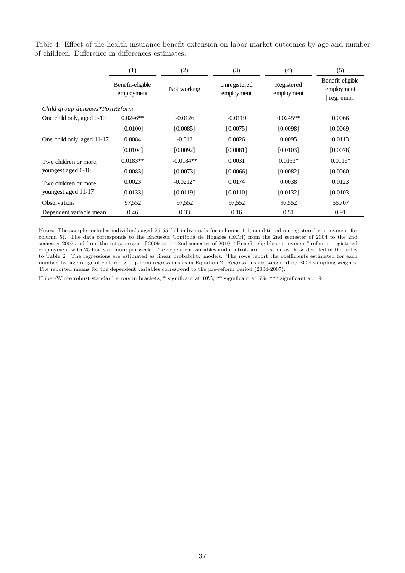|  |  |                                                   | Table 4: Effect of the health insurance benefit extension on labor market outcomes by age and number |  |  |  |  |
|--|--|---------------------------------------------------|------------------------------------------------------------------------------------------------------|--|--|--|--|
|  |  | of children. Difference in differences estimates. |                                                                                                      |  |  |  |  |

|                                | (1)                            | (2)         | (3)                        | (4)                      | (5)                                          |
|--------------------------------|--------------------------------|-------------|----------------------------|--------------------------|----------------------------------------------|
|                                | Benefit-eligible<br>employment | Not working | Unregistered<br>employment | Registered<br>employment | Benefit-eligible<br>employment<br>reg. empl. |
| Child group dummies*PostReform |                                |             |                            |                          |                                              |
| One child only, aged 0-10      | $0.0246**$                     | $-0.0126$   | $-0.0119$                  | $0.0245**$               | 0.0066                                       |
|                                | [0.0100]                       | [0.0085]    | [0.0075]                   | [0.0098]                 | [0.0069]                                     |
| One child only, aged 11-17     | 0.0084                         | $-0.012$    | 0.0026                     | 0.0095                   | 0.0113                                       |
|                                | [0.0104]                       | [0.0092]    | [0.0081]                   | [0.0103]                 | [0.0078]                                     |
| Two children or more,          | $0.0183**$                     | $-0.0184**$ | 0.0031                     | $0.0153*$                | $0.0116*$                                    |
| youngest aged 0-10             | [0.0083]                       | [0.0073]    | [0.0066]                   | [0.0082]                 | [0.0060]                                     |
| Two children or more,          | 0.0023                         | $-0.0212*$  | 0.0174                     | 0.0038                   | 0.0123                                       |
| youngest aged 11-17            | [0.0133]                       | [0.0119]    | [0.0110]                   | [0.0132]                 | [0.0103]                                     |
| <b>Observations</b>            | 97,552                         | 97,552      | 97,552                     | 97,552                   | 56,707                                       |
| Dependent variable mean        | 0.46                           | 0.33        | 0.16                       | 0.51                     | 0.91                                         |

Notes: The sample includes individuals aged 25-55 (all individuals for columns 1-4, conditional on registered employment for column 5). The data corresponds to the Encuesta Continua de Hogares (ECH) from the 2nd semester of 2004 to the 2nd semester 2007 and from the 1st semester of 2009 to the 2nd semester of 2010. "Benefit-eligible employment" refers to registered employment with 25 hours or more per week. The dependent variables and controls are the same as those detailed in the notes to Table 2. The regressions are estimated as linear probability models. The rows report the coefficients estimated for each number–by–age range of children group from regressions as in Equation 2. Regressions are weighted by ECH sampling weights. The reported means for the dependent variables correspond to the pre-reform period (2004-2007).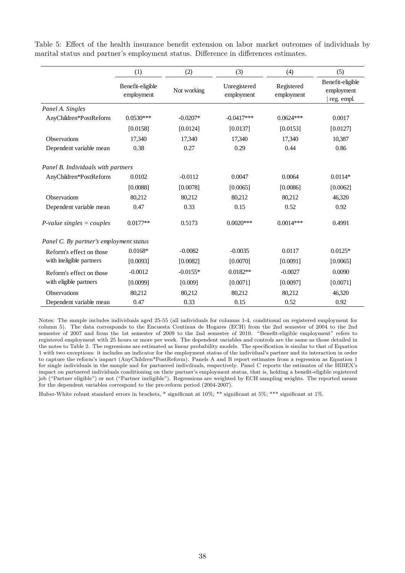|                                         | (1)                            | (2)         | (3)                        | (4)                      | (5)                                          |
|-----------------------------------------|--------------------------------|-------------|----------------------------|--------------------------|----------------------------------------------|
|                                         | Benefit-eligible<br>employment | Not working | Unregistered<br>employment | Registered<br>employment | Benefit-eligible<br>employment<br>reg. empl. |
| Panel A. Singles                        |                                |             |                            |                          |                                              |
| AnyChildren*PostReform                  | $0.0530***$                    | $-0.0207*$  | $-0.0417***$               | $0.0624***$              | 0.0017                                       |
|                                         | [0.0158]                       | [0.0124]    | [0.0137]                   | [0.0153]                 | [0.0127]                                     |
| <b>Observations</b>                     | 17,340                         | 17,340      | 17,340                     | 17,340                   | 10,387                                       |
| Dependent variable mean                 | 0.38                           | 0.27        | 0.29                       | 0.44                     | 0.86                                         |
| Panel B. Individuals with partners      |                                |             |                            |                          |                                              |
| AnyChildren*PostReform                  | 0.0102                         | $-0.0112$   | 0.0047                     | 0.0064                   | $0.0114*$                                    |
|                                         | [0.0088]                       | [0.0078]    | [0.0065]                   | [0.0086]                 | [0.0062]                                     |
| <b>Observations</b>                     | 80,212                         | 80,212      | 80,212                     | 80,212                   | 46,320                                       |
| Dependent variable mean                 | 0.47                           | 0.33        | 0.15                       | 0.52                     | 0.92                                         |
| $P$ -value singles = couples            | $0.0177**$                     | 0.5173      | $0.0020***$                | $0.0014***$              | 0.4991                                       |
| Panel C. By partner's employment status |                                |             |                            |                          |                                              |
| Reform's effect on those                | $0.0168*$                      | $-0.0082$   | $-0.0035$                  | 0.0117                   | $0.0125*$                                    |
| with ineligible partners                | [0.0093]                       | [0.0082]    | [0.0070]                   | [0.0091]                 | [0.0065]                                     |
| Reform's effect on those                | $-0.0012$                      | $-0.0155*$  | $0.0182**$                 | $-0.0027$                | 0.0090                                       |
| with eligible partners                  | [0.0099]                       | [0.009]     | [0.0071]                   | [0.0097]                 | [0.0071]                                     |
| <b>Observations</b>                     | 80,212                         | 80,212      | 80,212                     | 80,212                   | 46,320                                       |
| Dependent variable mean                 | 0.47                           | 0.33        | 0.15                       | 0.52                     | 0.92                                         |

Table 5: Effect of the health insurance benefit extension on labor market outcomes of individuals by marital status and partner's employment status. Difference in differences estimates.

Notes: The sample includes individuals aged 25-55 (all individuals for columns 1-4, conditional on registered employment for column 5). The data corresponds to the Encuesta Continua de Hogares (ECH) from the 2nd semester of 2004 to the 2nd semester of 2007 and from the 1st semester of 2009 to the 2nd semester of 2010. "Benefit-eligible employment" refers to registered employment with 25 hours or more per week. The dependent variables and controls are the same as those detailed in the notes to Table 2. The regressions are estimated as linear probability models. The specification is similar to that of Equation 1 with two exceptions: it includes an indicator for the employment status of the individual's partner and its interaction in order to capture the reform's impact (AnyChildren\*PostReform). Panels A and B report estimates from a regression as Equation 1 for single individuals in the sample and for partnered indivdiuals, respectively. Panel C reports the estimates of the HIBEX's impact on partnered individuals conditioning on their partner's employment status, that is, holding a benefit-eligible registered job ("Partner eligible") or not ("Partner ineligible"). Regressions are weighted by ECH sampling weights. The reported means for the dependent variables correspond to the pre-reform period (2004-2007).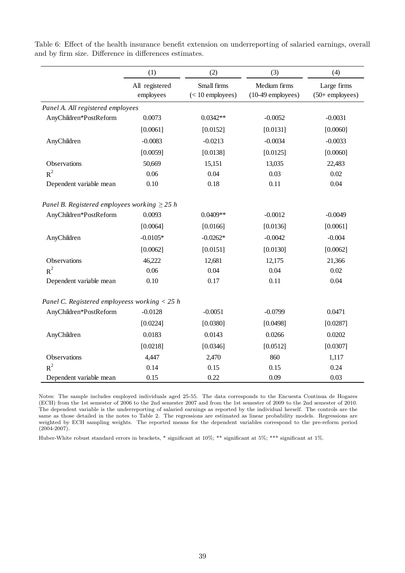|  |  |                                                        |  | Table 6: Effect of the health insurance benefit extension on underreporting of salaried earnings, overall |  |  |
|--|--|--------------------------------------------------------|--|-----------------------------------------------------------------------------------------------------------|--|--|
|  |  | and by firm size. Difference in differences estimates. |  |                                                                                                           |  |  |

|                                                   | (1)                         | (2)                               | (3)                                 | (4)                              |
|---------------------------------------------------|-----------------------------|-----------------------------------|-------------------------------------|----------------------------------|
|                                                   | All registered<br>employees | Small firms<br>$(< 10$ employees) | Medium firms<br>$(10-49$ employees) | Large firms<br>$(50+$ employees) |
| Panel A. All registered employees                 |                             |                                   |                                     |                                  |
| AnyChildren*PostReform                            | 0.0073                      | $0.0342**$                        | $-0.0052$                           | $-0.0031$                        |
|                                                   | [0.0061]                    | [0.0152]                          | [0.0131]                            | [0.0060]                         |
| AnyChildren                                       | $-0.0083$                   | $-0.0213$                         | $-0.0034$                           | $-0.0033$                        |
|                                                   | [0.0059]                    | [0.0138]                          | [0.0125]                            | [0.0060]                         |
| Observations                                      | 50,669                      | 15,151                            | 13,035                              | 22,483                           |
| $R^2$                                             | 0.06                        | 0.04                              | 0.03                                | 0.02                             |
| Dependent variable mean                           | 0.10                        | 0.18                              | 0.11                                | 0.04                             |
| Panel B. Registered employees working $\geq$ 25 h |                             |                                   |                                     |                                  |
| AnyChildren*PostReform                            | 0.0093                      | $0.0409**$                        | $-0.0012$                           | $-0.0049$                        |
|                                                   | [0.0064]                    | [0.0166]                          | [0.0136]                            | [0.0061]                         |
| AnyChildren                                       | $-0.0105*$                  | $-0.0262*$                        | $-0.0042$                           | $-0.004$                         |
|                                                   | [0.0062]                    | [0.0151]                          | [0.0130]                            | [0.0062]                         |
| Observations                                      | 46,222                      | 12,681                            | 12,175                              | 21,366                           |
| $R^2$                                             | 0.06                        | 0.04                              | 0.04                                | 0.02                             |
| Dependent variable mean                           | 0.10                        | 0.17                              | 0.11                                | 0.04                             |
| Panel C. Registered employeess working $<$ 25 h   |                             |                                   |                                     |                                  |
| AnyChildren*PostReform                            | $-0.0128$                   | $-0.0051$                         | $-0.0799$                           | 0.0471                           |
|                                                   | [0.0224]                    | [0.0380]                          | [0.0498]                            | [0.0287]                         |
| AnyChildren                                       | 0.0183                      | 0.0143                            | 0.0266                              | 0.0202                           |
|                                                   | [0.0218]                    | [0.0346]                          | [0.0512]                            | [0.0307]                         |
| Observations                                      | 4,447                       | 2,470                             | 860                                 | 1,117                            |
| $R^2$                                             | 0.14                        | 0.15                              | 0.15                                | 0.24                             |
| Dependent variable mean                           | 0.15                        | 0.22                              | 0.09                                | 0.03                             |

Notes: The sample includes employed individuals aged 25-55. The data corresponds to the Encuesta Continua de Hogares (ECH) from the 1st semester of 2006 to the 2nd semester 2007 and from the 1st semester of 2009 to the 2nd semester of 2010. The dependent variable is the underreporting of salaried earnings as reported by the individual herself. The controls are the same as those detailed in the notes to Table 2. The regressions are estimated as linear probability models. Regressions are weighted by ECH sampling weights. The reported means for the dependent variables correspond to the pre-reform period (2004-2007).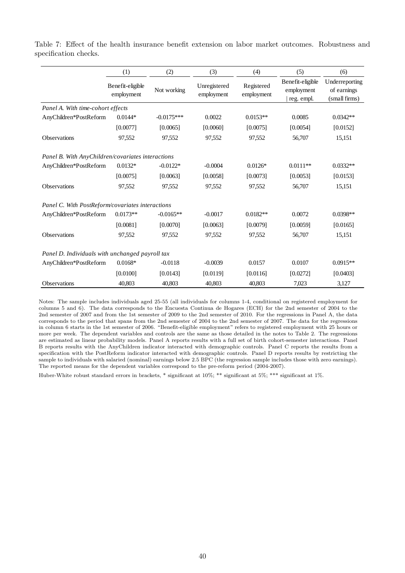|                                                   | (1)                            | (2)          | (3)                        | (4)                      | (5)                                          | (6)                                            |
|---------------------------------------------------|--------------------------------|--------------|----------------------------|--------------------------|----------------------------------------------|------------------------------------------------|
|                                                   | Benefit-eligible<br>employment | Not working  | Unregistered<br>employment | Registered<br>employment | Benefit-eligible<br>employment<br>reg. empl. | Underreporting<br>of earnings<br>(small firms) |
| Panel A. With time-cohort effects                 |                                |              |                            |                          |                                              |                                                |
| AnyChildren*PostReform                            | $0.0144*$                      | $-0.0175***$ | 0.0022                     | $0.0153**$               | 0.0085                                       | $0.0342**$                                     |
|                                                   | [0.0077]                       | [0.0065]     | [0.0060]                   | [0.0075]                 | [0.0054]                                     | [0.0152]                                       |
| <b>Observations</b>                               | 97,552                         | 97,552       | 97,552                     | 97,552                   | 56,707                                       | 15,151                                         |
| Panel B. With AnyChildren/covariates interactions |                                |              |                            |                          |                                              |                                                |
| AnyChildren*PostReform                            | $0.0132*$                      | $-0.0122*$   | $-0.0004$                  | $0.0126*$                | $0.0111**$                                   | $0.0332**$                                     |
|                                                   | [0.0075]                       | [0.0063]     | [0.0058]                   | [0.0073]                 | [0.0053]                                     | [0.0153]                                       |
| Observations                                      | 97,552                         | 97,552       | 97,552                     | 97,552                   | 56,707                                       | 15,151                                         |
| Panel C. With PostReform/covariates interactions  |                                |              |                            |                          |                                              |                                                |
| AnyChildren*PostReform                            | $0.0173**$                     | $-0.0165**$  | $-0.0017$                  | $0.0182**$               | 0.0072                                       | $0.0398**$                                     |
|                                                   | [0.0081]                       | [0.0070]     | [0.0063]                   | [0.0079]                 | [0.0059]                                     | [0.0165]                                       |
| <b>Observations</b>                               | 97,552                         | 97,552       | 97,552                     | 97,552                   | 56,707                                       | 15,151                                         |
| Panel D. Individuals with unchanged payroll tax   |                                |              |                            |                          |                                              |                                                |
| AnyChildren*PostReform                            | $0.0168*$                      | $-0.0118$    | $-0.0039$                  | 0.0157                   | 0.0107                                       | $0.0915**$                                     |
|                                                   | [0.0100]                       | [0.0143]     | [0.0119]                   | [0.0116]                 | [0.0272]                                     | [0.0403]                                       |
| <b>Observations</b>                               | 40.803                         | 40.803       | 40.803                     | 40.803                   | 7,023                                        | 3,127                                          |

Table 7: Effect of the health insurance benefit extension on labor market outcomes. Robustness and specification checks.

Notes: The sample includes individuals aged 25-55 (all individuals for columns 1-4, conditional on registered employment for columns 5 and 6). The data corresponds to the Encuesta Continua de Hogares (ECH) for the 2nd semester of 2004 to the 2nd semester of 2007 and from the 1st semester of 2009 to the 2nd semester of 2010. For the regressions in Panel A, the data corresponds to the period that spans from the 2nd semester of 2004 to the 2nd semester of 2007. The data for the regressions in column 6 starts in the 1st semester of 2006. "Benefit-eligible employment" refers to registered employment with 25 hours or more per week. The dependent variables and controls are the same as those detailed in the notes to Table 2. The regressions are estimated as linear probability models. Panel A reports results with a full set of birth cohort-semester interactions. Panel B reports results with the AnyChildren indicator interacted with demographic controls. Panel C reports the results from a specification with the PostReform indicator interacted with demographic controls. Panel D reports results by restricting the sample to individuals with salaried (nominal) earnings below 2.5 BPC (the regression sample includes those with zero earnings). The reported means for the dependent variables correspond to the pre-reform period (2004-2007).